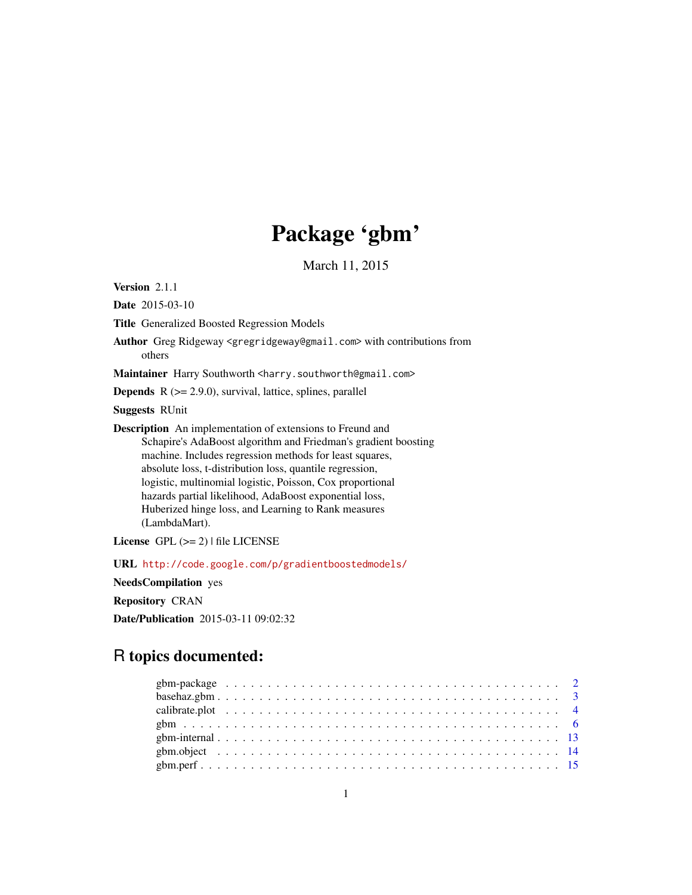# Package 'gbm'

March 11, 2015

<span id="page-0-0"></span>Version 2.1.1

Date 2015-03-10

Title Generalized Boosted Regression Models

Author Greg Ridgeway <gregridgeway@gmail.com> with contributions from others

Maintainer Harry Southworth <harry.southworth@gmail.com>

**Depends**  $R$  ( $>= 2.9.0$ ), survival, lattice, splines, parallel

Suggests RUnit

Description An implementation of extensions to Freund and Schapire's AdaBoost algorithm and Friedman's gradient boosting machine. Includes regression methods for least squares, absolute loss, t-distribution loss, quantile regression, logistic, multinomial logistic, Poisson, Cox proportional hazards partial likelihood, AdaBoost exponential loss, Huberized hinge loss, and Learning to Rank measures (LambdaMart).

License  $GPL$  ( $>= 2$ ) | file LICENSE

URL <http://code.google.com/p/gradientboostedmodels/>

NeedsCompilation yes

Repository CRAN

Date/Publication 2015-03-11 09:02:32

# R topics documented: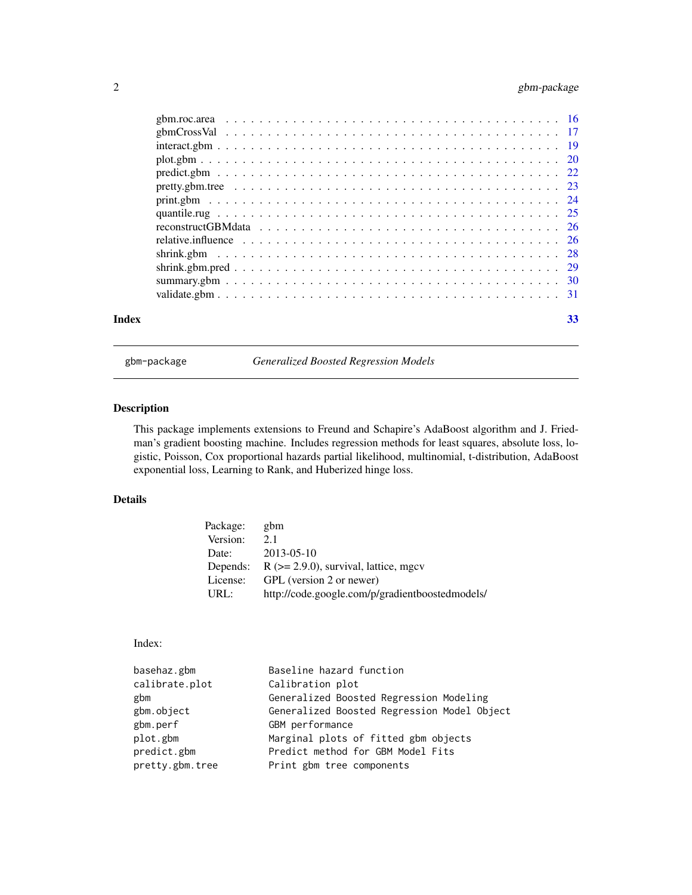# <span id="page-1-0"></span>2 gbm-package

| Index | 33 |
|-------|----|

gbm-package *Generalized Boosted Regression Models*

#### Description

This package implements extensions to Freund and Schapire's AdaBoost algorithm and J. Friedman's gradient boosting machine. Includes regression methods for least squares, absolute loss, logistic, Poisson, Cox proportional hazards partial likelihood, multinomial, t-distribution, AdaBoost exponential loss, Learning to Rank, and Huberized hinge loss.

# Details

| Package: | gbm                                             |
|----------|-------------------------------------------------|
| Version: | 2.1                                             |
| Date:    | $2013 - 05 - 10$                                |
| Depends: | $R$ ( $>= 2.9.0$ ), survival, lattice, mgcv     |
| License: | GPL (version 2 or newer)                        |
| URL:     | http://code.google.com/p/gradientboostedmodels/ |

#### Index:

| basehaz.gbm     | Baseline hazard function                    |
|-----------------|---------------------------------------------|
| calibrate.plot  | Calibration plot                            |
| gbm             | Generalized Boosted Regression Modeling     |
| gbm.object      | Generalized Boosted Regression Model Object |
| gbm.perf        | GBM performance                             |
| plot.gbm        | Marginal plots of fitted gbm objects        |
| predict.gbm     | Predict method for GBM Model Fits           |
| pretty.gbm.tree | Print gbm tree components                   |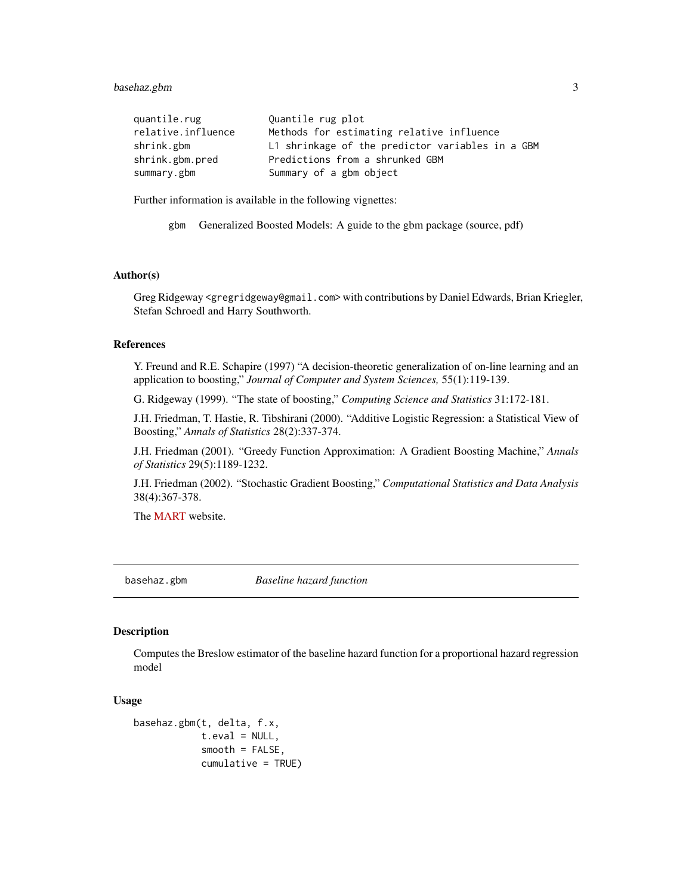#### <span id="page-2-0"></span>basehaz.gbm 3

| quantile.rug       | Quantile rug plot                                |
|--------------------|--------------------------------------------------|
| relative.influence | Methods for estimating relative influence        |
| shrink.gbm         | L1 shrinkage of the predictor variables in a GBM |
| shrink.gbm.pred    | Predictions from a shrunked GBM                  |
| summary.gbm        | Summary of a gbm object                          |

Further information is available in the following vignettes:

gbm Generalized Boosted Models: A guide to the gbm package (source, pdf)

### Author(s)

Greg Ridgeway <gregridgeway@gmail.com> with contributions by Daniel Edwards, Brian Kriegler, Stefan Schroedl and Harry Southworth.

#### References

Y. Freund and R.E. Schapire (1997) "A decision-theoretic generalization of on-line learning and an application to boosting," *Journal of Computer and System Sciences,* 55(1):119-139.

G. Ridgeway (1999). "The state of boosting," *Computing Science and Statistics* 31:172-181.

J.H. Friedman, T. Hastie, R. Tibshirani (2000). "Additive Logistic Regression: a Statistical View of Boosting," *Annals of Statistics* 28(2):337-374.

J.H. Friedman (2001). "Greedy Function Approximation: A Gradient Boosting Machine," *Annals of Statistics* 29(5):1189-1232.

J.H. Friedman (2002). "Stochastic Gradient Boosting," *Computational Statistics and Data Analysis* 38(4):367-378.

The [MART](http://www-stat.stanford.edu/~jhf/R-MART.html) website.

basehaz.gbm *Baseline hazard function*

#### Description

Computes the Breslow estimator of the baseline hazard function for a proportional hazard regression model

#### Usage

```
basehaz.gbm(t, delta, f.x,
            t.eval = NULL,smooth = FALSE,
            cumulative = TRUE)
```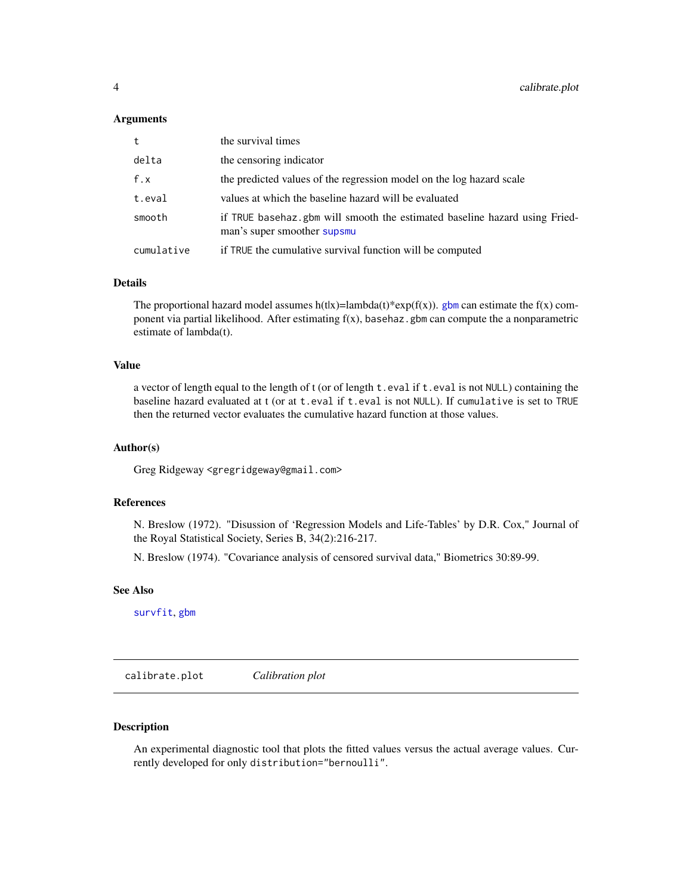#### <span id="page-3-0"></span>Arguments

| t          | the survival times                                                                                        |
|------------|-----------------------------------------------------------------------------------------------------------|
| delta      | the censoring indicator                                                                                   |
| f.x        | the predicted values of the regression model on the log hazard scale                                      |
| t.eval     | values at which the baseline hazard will be evaluated                                                     |
| smooth     | if TRUE basehaz.gbm will smooth the estimated baseline hazard using Fried-<br>man's super smoother supsmu |
| cumulative | if TRUE the cumulative survival function will be computed                                                 |

#### Details

The proportional hazard model assumes h(t|x)=lambda(t)\*exp(f(x)). [gbm](#page-5-1) can estimate the f(x) component via partial likelihood. After estimating  $f(x)$ , basehaz.gbm can compute the a nonparametric estimate of lambda(t).

#### Value

a vector of length equal to the length of t (or of length  $t$ , eval if  $t$ , eval is not NULL) containing the baseline hazard evaluated at t (or at t.eval if t.eval is not NULL). If cumulative is set to TRUE then the returned vector evaluates the cumulative hazard function at those values.

#### Author(s)

Greg Ridgeway <gregridgeway@gmail.com>

#### References

N. Breslow (1972). "Disussion of 'Regression Models and Life-Tables' by D.R. Cox," Journal of the Royal Statistical Society, Series B, 34(2):216-217.

N. Breslow (1974). "Covariance analysis of censored survival data," Biometrics 30:89-99.

#### See Also

[survfit](#page-0-0), [gbm](#page-5-1)

calibrate.plot *Calibration plot*

#### Description

An experimental diagnostic tool that plots the fitted values versus the actual average values. Currently developed for only distribution="bernoulli".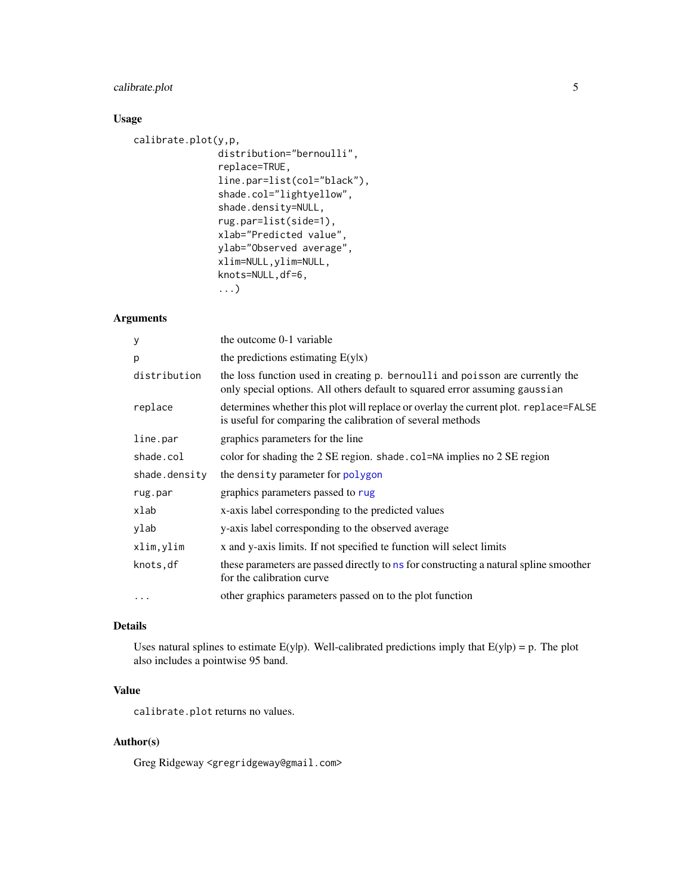#### <span id="page-4-0"></span>calibrate.plot 5

#### Usage

```
calibrate.plot(y,p,
               distribution="bernoulli",
               replace=TRUE,
               line.par=list(col="black"),
               shade.col="lightyellow",
               shade.density=NULL,
               rug.par=list(side=1),
               xlab="Predicted value",
               ylab="Observed average",
               xlim=NULL,ylim=NULL,
               knots=NULL,df=6,
               ...)
```
# Arguments

| У             | the outcome 0-1 variable                                                                                                                                     |
|---------------|--------------------------------------------------------------------------------------------------------------------------------------------------------------|
| p             | the predictions estimating $E(y x)$                                                                                                                          |
| distribution  | the loss function used in creating p. bernoulli and poisson are currently the<br>only special options. All others default to squared error assuming gaussian |
| replace       | determines whether this plot will replace or overlay the current plot. replace=FALSE<br>is useful for comparing the calibration of several methods           |
| line.par      | graphics parameters for the line                                                                                                                             |
| shade.col     | color for shading the 2 SE region. shade.col=NA implies no 2 SE region                                                                                       |
| shade.density | the density parameter for polygon                                                                                                                            |
| rug.par       | graphics parameters passed to rug                                                                                                                            |
| xlab          | x-axis label corresponding to the predicted values                                                                                                           |
| ylab          | y-axis label corresponding to the observed average                                                                                                           |
| xlim, ylim    | x and y-axis limits. If not specified te function will select limits                                                                                         |
| knots,df      | these parameters are passed directly to ns for constructing a natural spline smoother<br>for the calibration curve                                           |
| $\cdots$      | other graphics parameters passed on to the plot function                                                                                                     |

#### Details

Uses natural splines to estimate  $E(y|p)$ . Well-calibrated predictions imply that  $E(y|p) = p$ . The plot also includes a pointwise 95 band.

# Value

calibrate.plot returns no values.

#### Author(s)

Greg Ridgeway <gregridgeway@gmail.com>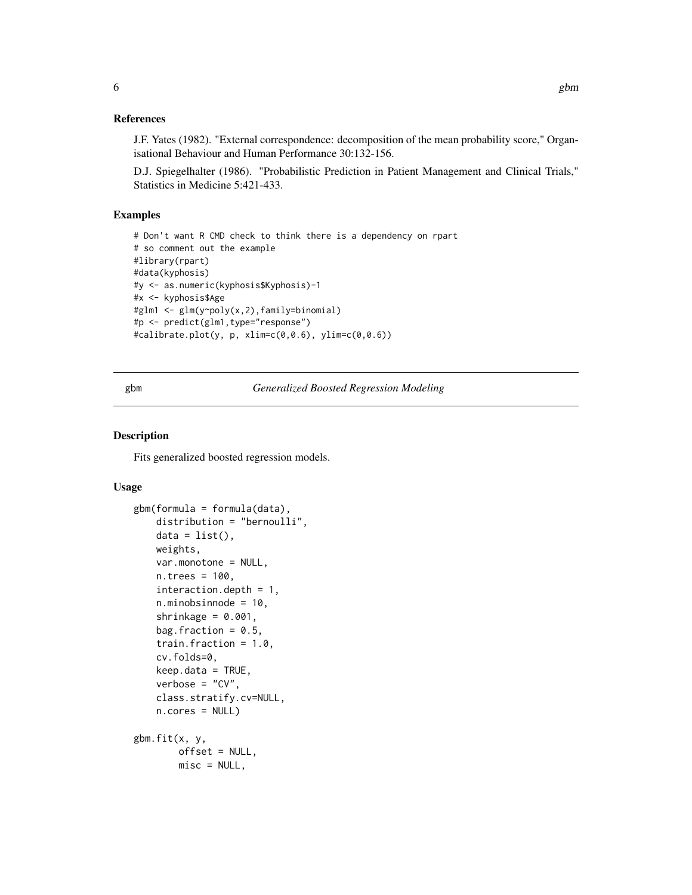#### <span id="page-5-0"></span>References

J.F. Yates (1982). "External correspondence: decomposition of the mean probability score," Organisational Behaviour and Human Performance 30:132-156.

D.J. Spiegelhalter (1986). "Probabilistic Prediction in Patient Management and Clinical Trials," Statistics in Medicine 5:421-433.

#### Examples

```
# Don't want R CMD check to think there is a dependency on rpart
# so comment out the example
#library(rpart)
#data(kyphosis)
#y <- as.numeric(kyphosis$Kyphosis)-1
#x <- kyphosis$Age
#glm1 <- glm(y~poly(x,2),family=binomial)
#p <- predict(glm1,type="response")
#calibrate.plot(y, p, xlim=c(0,0.6), ylim=c(0,0.6))
```
<span id="page-5-1"></span>gbm *Generalized Boosted Regression Modeling*

#### <span id="page-5-2"></span>Description

Fits generalized boosted regression models.

#### Usage

```
gbm(formula = formula(data),
    distribution = "bernoulli",
    data = list(),
   weights,
    var.monotone = NULL,
    n.trees = 100,
    interaction.depth = 1,
    n.minobsinnode = 10,
    shrinkage = 0.001,
   bag.fraction = 0.5,
    train.fraction = 1.0,
    cv.folds=0,
    keep.data = TRUE,
    verbose = "CV",class.stratify.cv=NULL,
    n.cores = NULL)
gbm.fit(x, y,
        offset = NULL,
        misc = NULL,
```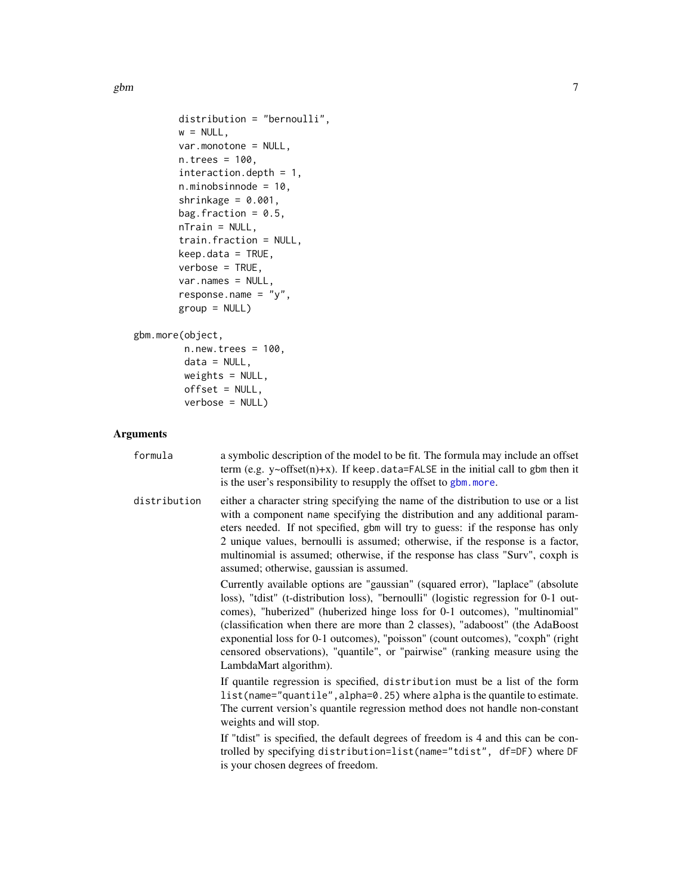<span id="page-6-0"></span>gbm  $\sim$  7

```
distribution = "bernoulli",
       w = NULL,var.monotone = NULL,
       n.trees = 100,
       interaction.depth = 1,
       n.minobsinnode = 10,
       shrinkage = 0.001,
       bag.fraction = 0.5,
       nTrain = NULL,
       train.fraction = NULL,
       keep.data = TRUE,verbose = TRUE,
       var.names = NULL,
       response.name = "y",
       group = NULL)
gbm.more(object,
        n.new.trees = 100,
```
 $data = NULL,$ weights = NULL, offset = NULL, verbose = NULL)

### Arguments

| formula      | a symbolic description of the model to be fit. The formula may include an offset<br>term (e.g. $y \sim \text{offset}(n) + x$ ). If keep.data=FALSE in the initial call to gbm then it<br>is the user's responsibility to resupply the offset to gbm. more.                                                                                                                                                                                                                                                                        |
|--------------|-----------------------------------------------------------------------------------------------------------------------------------------------------------------------------------------------------------------------------------------------------------------------------------------------------------------------------------------------------------------------------------------------------------------------------------------------------------------------------------------------------------------------------------|
| distribution | either a character string specifying the name of the distribution to use or a list<br>with a component name specifying the distribution and any additional param-<br>eters needed. If not specified, gbm will try to guess: if the response has only<br>2 unique values, bernoulli is assumed; otherwise, if the response is a factor,<br>multinomial is assumed; otherwise, if the response has class "Surv", coxph is<br>assumed; otherwise, gaussian is assumed.                                                               |
|              | Currently available options are "gaussian" (squared error), "laplace" (absolute<br>loss), "tdist" (t-distribution loss), "bernoulli" (logistic regression for 0-1 out-<br>comes), "huberized" (huberized hinge loss for 0-1 outcomes), "multinomial"<br>(classification when there are more than 2 classes), "adaboost" (the AdaBoost<br>exponential loss for 0-1 outcomes), "poisson" (count outcomes), "coxph" (right<br>censored observations), "quantile", or "pairwise" (ranking measure using the<br>LambdaMart algorithm). |
|              | If quantile regression is specified, distribution must be a list of the form<br>list(name="quantile", alpha=0.25) where alpha is the quantile to estimate.<br>The current version's quantile regression method does not handle non-constant<br>weights and will stop.                                                                                                                                                                                                                                                             |
|              | If "tdist" is specified, the default degrees of freedom is 4 and this can be con-<br>trolled by specifying distribution=list(name="tdist", df=DF) where DF<br>is your chosen degrees of freedom.                                                                                                                                                                                                                                                                                                                                  |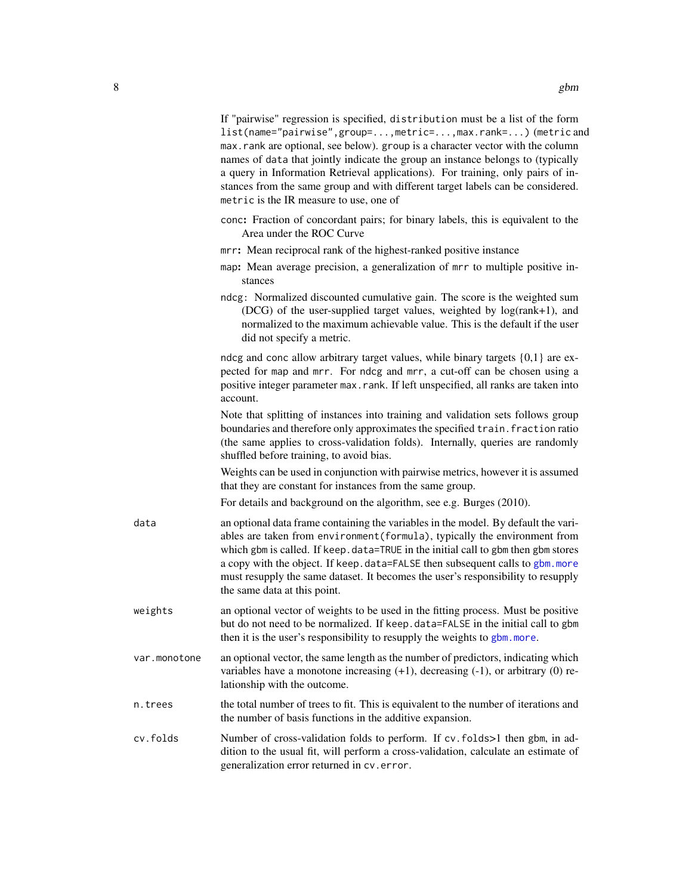If "pairwise" regression is specified, distribution must be a list of the form list(name="pairwise",group=...,metric=...,max.rank=...) (metric and max.rank are optional, see below). group is a character vector with the column names of data that jointly indicate the group an instance belongs to (typically a query in Information Retrieval applications). For training, only pairs of instances from the same group and with different target labels can be considered.

- conc: Fraction of concordant pairs; for binary labels, this is equivalent to the Area under the ROC Curve
- mrr: Mean reciprocal rank of the highest-ranked positive instance

metric is the IR measure to use, one of

- map: Mean average precision, a generalization of mrr to multiple positive instances
- ndcg: Normalized discounted cumulative gain. The score is the weighted sum (DCG) of the user-supplied target values, weighted by log(rank+1), and normalized to the maximum achievable value. This is the default if the user did not specify a metric.

ndcg and conc allow arbitrary target values, while binary targets {0,1} are expected for map and mrr. For ndcg and mrr, a cut-off can be chosen using a positive integer parameter max.rank. If left unspecified, all ranks are taken into account.

Note that splitting of instances into training and validation sets follows group boundaries and therefore only approximates the specified train. fraction ratio (the same applies to cross-validation folds). Internally, queries are randomly shuffled before training, to avoid bias.

Weights can be used in conjunction with pairwise metrics, however it is assumed that they are constant for instances from the same group.

For details and background on the algorithm, see e.g. Burges (2010).

- data an optional data frame containing the variables in the model. By default the variables are taken from environment(formula), typically the environment from which gbm is called. If keep.data=TRUE in the initial call to gbm then gbm stores a copy with the object. If keep.data=FALSE then subsequent calls to [gbm.more](#page-5-2) must resupply the same dataset. It becomes the user's responsibility to resupply the same data at this point.
- weights an optional vector of weights to be used in the fitting process. Must be positive but do not need to be normalized. If keep.data=FALSE in the initial call to gbm then it is the user's responsibility to resupply the weights to [gbm.more](#page-5-2).
- var.monotone an optional vector, the same length as the number of predictors, indicating which variables have a monotone increasing  $(+1)$ , decreasing  $(-1)$ , or arbitrary  $(0)$  relationship with the outcome.
- n.trees the total number of trees to fit. This is equivalent to the number of iterations and the number of basis functions in the additive expansion.
- cv.folds Number of cross-validation folds to perform. If cv.folds>1 then gbm, in addition to the usual fit, will perform a cross-validation, calculate an estimate of generalization error returned in cv.error.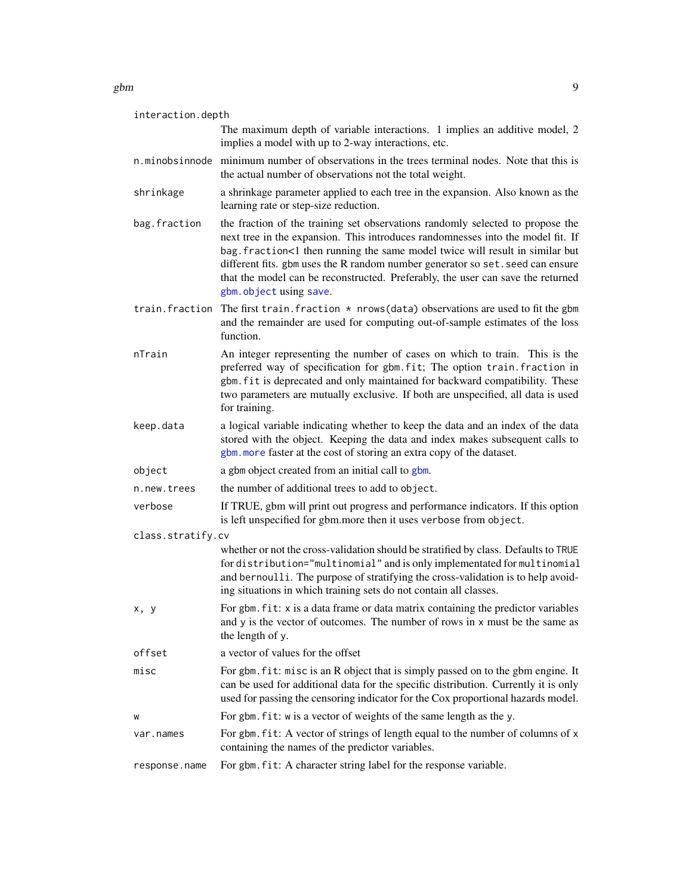#### <span id="page-8-0"></span> $g$ bm  $g$

| interaction.depth |                                                                                                                                                                                                                                                                                                                                                                                                                                                   |
|-------------------|---------------------------------------------------------------------------------------------------------------------------------------------------------------------------------------------------------------------------------------------------------------------------------------------------------------------------------------------------------------------------------------------------------------------------------------------------|
|                   | The maximum depth of variable interactions. 1 implies an additive model, 2<br>implies a model with up to 2-way interactions, etc.                                                                                                                                                                                                                                                                                                                 |
|                   | n.minobsinnode minimum number of observations in the trees terminal nodes. Note that this is<br>the actual number of observations not the total weight.                                                                                                                                                                                                                                                                                           |
| shrinkage         | a shrinkage parameter applied to each tree in the expansion. Also known as the<br>learning rate or step-size reduction.                                                                                                                                                                                                                                                                                                                           |
| bag.fraction      | the fraction of the training set observations randomly selected to propose the<br>next tree in the expansion. This introduces randomnesses into the model fit. If<br>bag. fraction<1 then running the same model twice will result in similar but<br>different fits. gbm uses the R random number generator so set. seed can ensure<br>that the model can be reconstructed. Preferably, the user can save the returned<br>gbm. object using save. |
|                   | train. fraction The first train. fraction $*$ nrows (data) observations are used to fit the gbm<br>and the remainder are used for computing out-of-sample estimates of the loss<br>function.                                                                                                                                                                                                                                                      |
| nTrain            | An integer representing the number of cases on which to train. This is the<br>preferred way of specification for gbm.fit; The option train.fraction in<br>gbm. fit is deprecated and only maintained for backward compatibility. These<br>two parameters are mutually exclusive. If both are unspecified, all data is used<br>for training.                                                                                                       |
| keep.data         | a logical variable indicating whether to keep the data and an index of the data<br>stored with the object. Keeping the data and index makes subsequent calls to<br>gbm. more faster at the cost of storing an extra copy of the dataset.                                                                                                                                                                                                          |
| object            | a gbm object created from an initial call to gbm.                                                                                                                                                                                                                                                                                                                                                                                                 |
| n.new.trees       | the number of additional trees to add to object.                                                                                                                                                                                                                                                                                                                                                                                                  |
| verbose           | If TRUE, gbm will print out progress and performance indicators. If this option<br>is left unspecified for gbm.more then it uses verbose from object.                                                                                                                                                                                                                                                                                             |
| class.stratify.cv |                                                                                                                                                                                                                                                                                                                                                                                                                                                   |
|                   | whether or not the cross-validation should be stratified by class. Defaults to TRUE<br>for distribution="multinomial" and is only implementated for multinomial<br>and bernoulli. The purpose of stratifying the cross-validation is to help avoid-<br>ing situations in which training sets do not contain all classes.                                                                                                                          |
| x, y              | For gbm. fit: x is a data frame or data matrix containing the predictor variables<br>and y is the vector of outcomes. The number of rows in x must be the same as<br>the length of y.                                                                                                                                                                                                                                                             |
| offset            | a vector of values for the offset                                                                                                                                                                                                                                                                                                                                                                                                                 |
| misc              | For gbm. fit: misc is an R object that is simply passed on to the gbm engine. It<br>can be used for additional data for the specific distribution. Currently it is only<br>used for passing the censoring indicator for the Cox proportional hazards model.                                                                                                                                                                                       |
| W                 | For gbm. fit: w is a vector of weights of the same length as the y.                                                                                                                                                                                                                                                                                                                                                                               |
| var.names         | For gbm. fit: A vector of strings of length equal to the number of columns of x<br>containing the names of the predictor variables.                                                                                                                                                                                                                                                                                                               |
| response.name     | For gbm. fit: A character string label for the response variable.                                                                                                                                                                                                                                                                                                                                                                                 |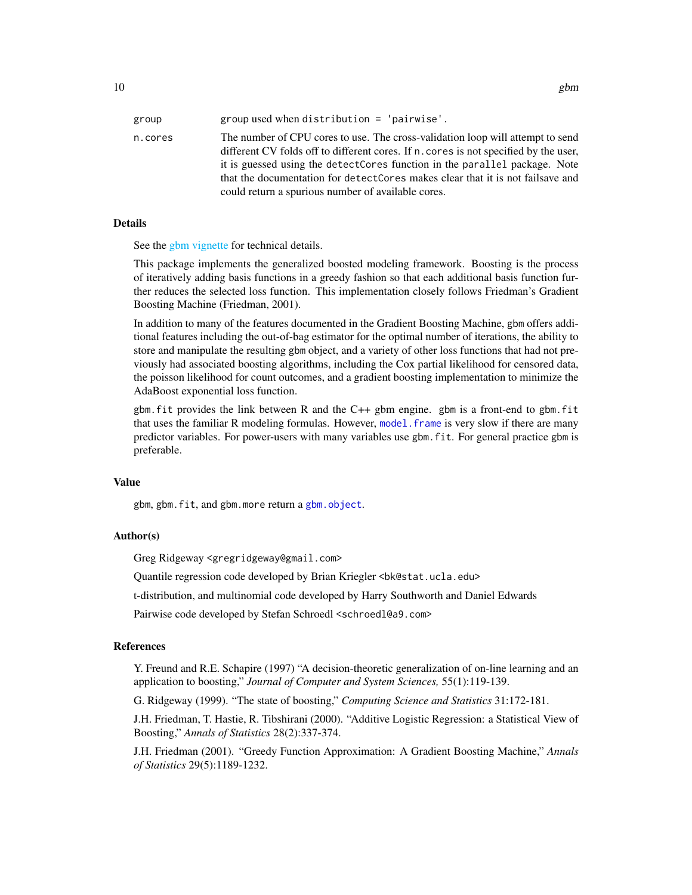<span id="page-9-0"></span>

| group   | group used when distribution $=$ 'pairwise'.                                                                                                                                                                                                                                                                                                                                                    |
|---------|-------------------------------------------------------------------------------------------------------------------------------------------------------------------------------------------------------------------------------------------------------------------------------------------------------------------------------------------------------------------------------------------------|
| n.cores | The number of CPU cores to use. The cross-validation loop will attempt to send<br>different CV folds off to different cores. If n. cores is not specified by the user,<br>it is guessed using the detect Cores function in the parallel package. Note<br>that the documentation for detect Cores makes clear that it is not fails ave and<br>could return a spurious number of available cores. |

#### Details

See the [gbm vignette](#page-0-0) for technical details.

This package implements the generalized boosted modeling framework. Boosting is the process of iteratively adding basis functions in a greedy fashion so that each additional basis function further reduces the selected loss function. This implementation closely follows Friedman's Gradient Boosting Machine (Friedman, 2001).

In addition to many of the features documented in the Gradient Boosting Machine, gbm offers additional features including the out-of-bag estimator for the optimal number of iterations, the ability to store and manipulate the resulting gbm object, and a variety of other loss functions that had not previously had associated boosting algorithms, including the Cox partial likelihood for censored data, the poisson likelihood for count outcomes, and a gradient boosting implementation to minimize the AdaBoost exponential loss function.

gbm.fit provides the link between R and the C++ gbm engine. gbm is a front-end to gbm.fit that uses the familiar R modeling formulas. However, model. frame is very slow if there are many predictor variables. For power-users with many variables use gbm.fit. For general practice gbm is preferable.

#### Value

gbm, gbm.fit, and gbm.more return a [gbm.object](#page-13-1).

#### Author(s)

Greg Ridgeway <gregridgeway@gmail.com>

Quantile regression code developed by Brian Kriegler <br/>bk@stat.ucla.edu>

t-distribution, and multinomial code developed by Harry Southworth and Daniel Edwards

Pairwise code developed by Stefan Schroedl <schroedl@a9.com>

#### References

Y. Freund and R.E. Schapire (1997) "A decision-theoretic generalization of on-line learning and an application to boosting," *Journal of Computer and System Sciences,* 55(1):119-139.

G. Ridgeway (1999). "The state of boosting," *Computing Science and Statistics* 31:172-181.

J.H. Friedman, T. Hastie, R. Tibshirani (2000). "Additive Logistic Regression: a Statistical View of Boosting," *Annals of Statistics* 28(2):337-374.

J.H. Friedman (2001). "Greedy Function Approximation: A Gradient Boosting Machine," *Annals of Statistics* 29(5):1189-1232.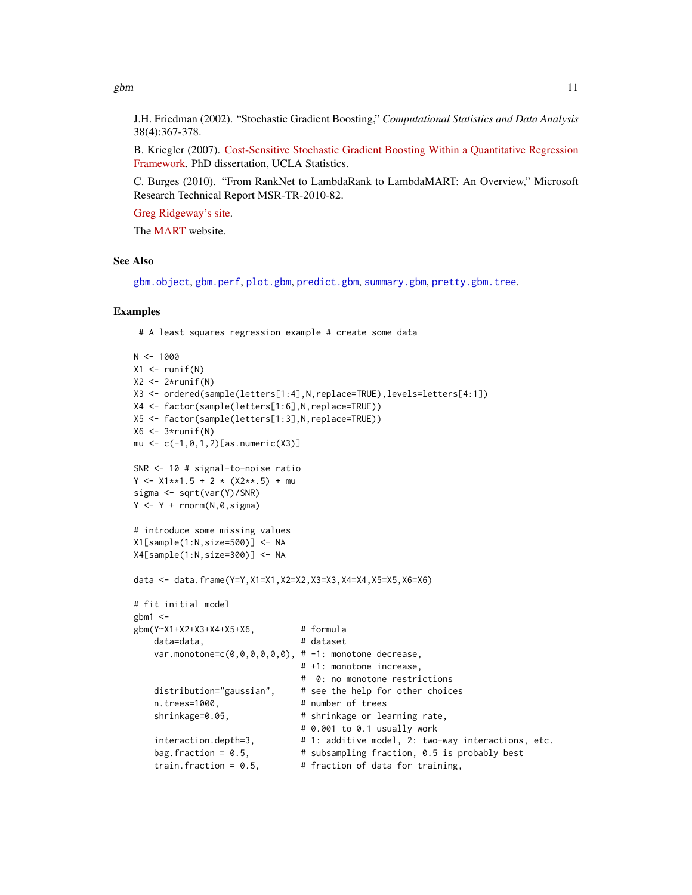<span id="page-10-0"></span>gbm  $11$ 

J.H. Friedman (2002). "Stochastic Gradient Boosting," *Computational Statistics and Data Analysis* 38(4):367-378.

B. Kriegler (2007). [Cost-Sensitive Stochastic Gradient Boosting Within a Quantitative Regression](http://statistics.ucla.edu/theses/uclastat-dissertation-2007:2) [Framework.](http://statistics.ucla.edu/theses/uclastat-dissertation-2007:2) PhD dissertation, UCLA Statistics.

C. Burges (2010). "From RankNet to LambdaRank to LambdaMART: An Overview," Microsoft Research Technical Report MSR-TR-2010-82.

[Greg Ridgeway's site.](http://sites.google.com/site/gregridgeway)

The [MART](http://www-stat.stanford.edu/~jhf/R-MART.html) website.

#### See Also

[gbm.object](#page-13-1), [gbm.perf](#page-14-1), [plot.gbm](#page-19-1), [predict.gbm](#page-21-1), [summary.gbm](#page-29-1), [pretty.gbm.tree](#page-22-1).

#### Examples

# A least squares regression example # create some data

```
N < -1000X1 \leftarrow runif(N)X2 \leftarrow 2*runif(N)X3 <- ordered(sample(letters[1:4],N,replace=TRUE),levels=letters[4:1])
X4 <- factor(sample(letters[1:6],N,replace=TRUE))
X5 <- factor(sample(letters[1:3],N,replace=TRUE))
X6 \leftarrow 3*runif(N)mu \leftarrow c(-1, 0, 1, 2) [as.numeric(X3)]
SNR <- 10 # signal-to-noise ratio
Y \le -X1**1.5 + 2 \times (X2**.5) + musigma <- sqrt(var(Y)/SNR)
Y \leftarrow Y + \text{norm}(N, \emptyset, \text{sigma})# introduce some missing values
X1[sample(1:N,size=500)] <- NA
X4[sample(1:N,size=300)] <- NA
data <- data.frame(Y=Y,X1=X1,X2=X2,X3=X3,X4=X4,X5=X5,X6=X6)
# fit initial model
gbm1 <-
gbm(Y~X1+X2+X3+X4+X5+X6, # formula
    data=data, <br>
# dataset
    var.monotone=c(0,0,0,0,0,0), # -1: monotone decrease,
                                 # +1: monotone increase,
                                 # 0: no monotone restrictions
    distribution="gaussian", # see the help for other choices
    n.trees=1000, # number of trees
    shrinkage=0.05, <br> # shrinkage or learning rate,
                                 # 0.001 to 0.1 usually work
    interaction.depth=3, # 1: additive model, 2: two-way interactions, etc.
    bag.fraction = 0.5, # subsampling fraction, 0.5 is probably best
    train.fraction = 0.5, \qquad # fraction of data for training,
```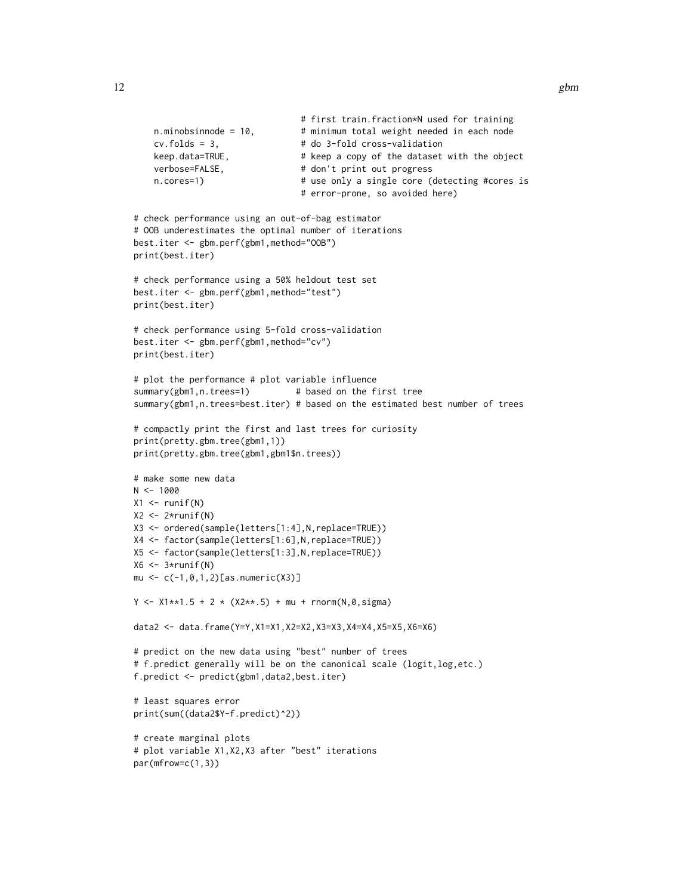```
# first train.fraction*N used for training
    n.minobsinnode = 10, \qquad # minimum total weight needed in each node
    cv.folds = 3, \qquad \qquad # do 3-fold cross-validationkeep.data=TRUE, \qquad # keep a copy of the dataset with the object
    verbose=FALSE, # don't print out progress
    n.cores=1) \# use only a single core (detecting #cores is
                                # error-prone, so avoided here)
# check performance using an out-of-bag estimator
# OOB underestimates the optimal number of iterations
best.iter <- gbm.perf(gbm1,method="OOB")
print(best.iter)
# check performance using a 50% heldout test set
best.iter <- gbm.perf(gbm1,method="test")
print(best.iter)
# check performance using 5-fold cross-validation
best.iter <- gbm.perf(gbm1,method="cv")
print(best.iter)
# plot the performance # plot variable influence
summary(gbm1,n.trees=1) # based on the first tree
summary(gbm1,n.trees=best.iter) # based on the estimated best number of trees
# compactly print the first and last trees for curiosity
print(pretty.gbm.tree(gbm1,1))
print(pretty.gbm.tree(gbm1,gbm1$n.trees))
# make some new data
N < - 1000X1 \leftarrow runif(N)X2 \leftarrow 2*runif(N)X3 <- ordered(sample(letters[1:4],N,replace=TRUE))
X4 <- factor(sample(letters[1:6],N,replace=TRUE))
X5 <- factor(sample(letters[1:3],N,replace=TRUE))
X6 \leftarrow 3*runif(N)mu <- c(-1,0,1,2)[as.numeric(X3)]
Y \le -X1**1.5 + 2 \times (X2**.5) + mu + rnorm(N, 0, sigma)data2 <- data.frame(Y=Y,X1=X1,X2=X2,X3=X3,X4=X4,X5=X5,X6=X6)
# predict on the new data using "best" number of trees
# f.predict generally will be on the canonical scale (logit,log,etc.)
f.predict <- predict(gbm1,data2,best.iter)
# least squares error
print(sum((data2$Y-f.predict)^2))
# create marginal plots
# plot variable X1,X2,X3 after "best" iterations
par(mfrow=c(1,3))
```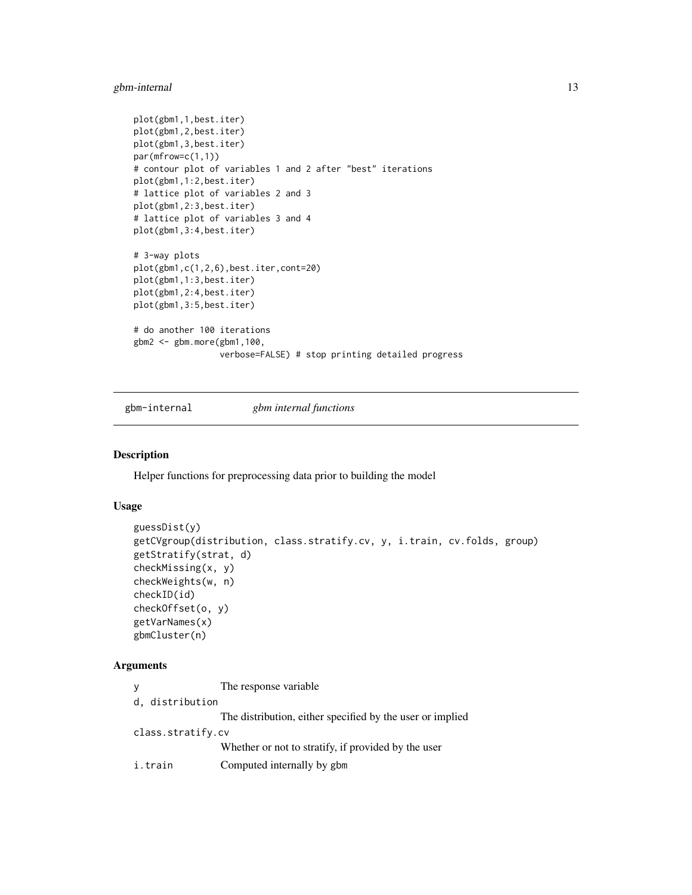#### <span id="page-12-0"></span>gbm-internal 13

```
plot(gbm1,1,best.iter)
plot(gbm1,2,best.iter)
plot(gbm1,3,best.iter)
par(mfrow=c(1,1))
# contour plot of variables 1 and 2 after "best" iterations
plot(gbm1,1:2,best.iter)
# lattice plot of variables 2 and 3
plot(gbm1,2:3,best.iter)
# lattice plot of variables 3 and 4
plot(gbm1,3:4,best.iter)
# 3-way plots
plot(gbm1,c(1,2,6),best.iter,cont=20)
plot(gbm1,1:3,best.iter)
plot(gbm1,2:4,best.iter)
plot(gbm1,3:5,best.iter)
# do another 100 iterations
gbm2 <- gbm.more(gbm1,100,
                 verbose=FALSE) # stop printing detailed progress
```
gbm-internal *gbm internal functions*

# Description

Helper functions for preprocessing data prior to building the model

#### Usage

```
guessDist(y)
getCVgroup(distribution, class.stratify.cv, y, i.train, cv.folds, group)
getStratify(strat, d)
checkMissing(x, y)
checkWeights(w, n)
checkID(id)
checkOffset(o, y)
getVarNames(x)
gbmCluster(n)
```
#### Arguments

| V |                   | The response variable.                                    |
|---|-------------------|-----------------------------------------------------------|
|   | d, distribution   |                                                           |
|   |                   | The distribution, either specified by the user or implied |
|   | class.stratify.cv |                                                           |
|   |                   | Whether or not to stratify, if provided by the user       |
|   | i.train           | Computed internally by gbm                                |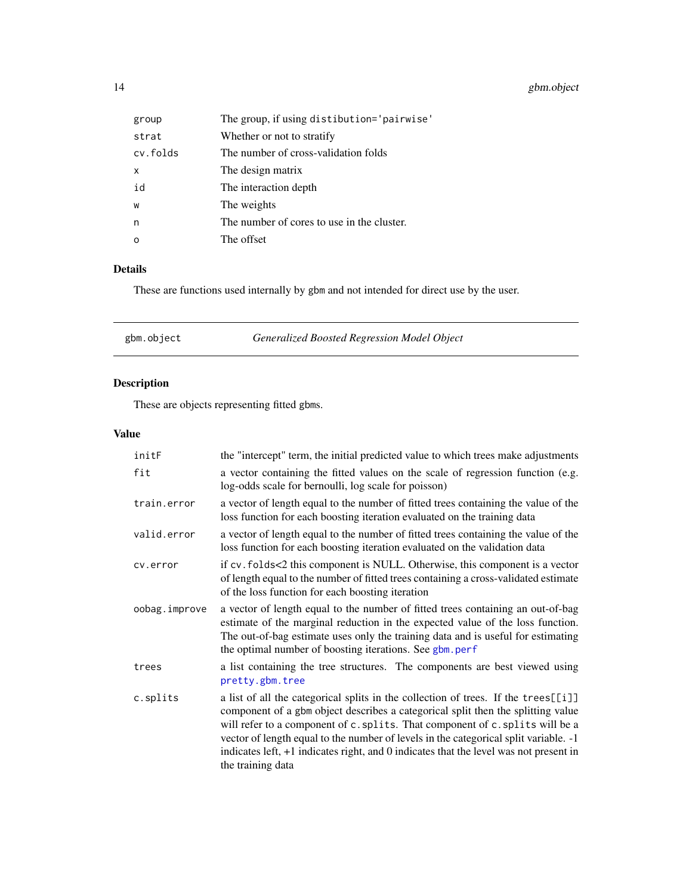# <span id="page-13-0"></span>14 gbm.object

| group    | The group, if using distibution='pairwise' |
|----------|--------------------------------------------|
| strat    | Whether or not to stratify                 |
| cv.folds | The number of cross-validation folds       |
| X        | The design matrix                          |
| id       | The interaction depth                      |
| W        | The weights                                |
| n        | The number of cores to use in the cluster. |
| $\Omega$ | The offset                                 |

# Details

These are functions used internally by gbm and not intended for direct use by the user.

<span id="page-13-1"></span>

| Generalized Boosted Regression Model Object<br>gbm.object |  |  |  |
|-----------------------------------------------------------|--|--|--|
|-----------------------------------------------------------|--|--|--|

# Description

These are objects representing fitted gbms.

# Value

| initF         | the "intercept" term, the initial predicted value to which trees make adjustments                                                                                                                                                                                                                                                                                                                                                                             |
|---------------|---------------------------------------------------------------------------------------------------------------------------------------------------------------------------------------------------------------------------------------------------------------------------------------------------------------------------------------------------------------------------------------------------------------------------------------------------------------|
| fit           | a vector containing the fitted values on the scale of regression function (e.g.<br>log-odds scale for bernoulli, log scale for poisson)                                                                                                                                                                                                                                                                                                                       |
| train.error   | a vector of length equal to the number of fitted trees containing the value of the<br>loss function for each boosting iteration evaluated on the training data                                                                                                                                                                                                                                                                                                |
| valid.error   | a vector of length equal to the number of fitted trees containing the value of the<br>loss function for each boosting iteration evaluated on the validation data                                                                                                                                                                                                                                                                                              |
| cv.error      | if cv. folds<2 this component is NULL. Otherwise, this component is a vector<br>of length equal to the number of fitted trees containing a cross-validated estimate<br>of the loss function for each boosting iteration                                                                                                                                                                                                                                       |
| oobag.improve | a vector of length equal to the number of fitted trees containing an out-of-bag<br>estimate of the marginal reduction in the expected value of the loss function.<br>The out-of-bag estimate uses only the training data and is useful for estimating<br>the optimal number of boosting iterations. See gbm.perf                                                                                                                                              |
| trees         | a list containing the tree structures. The components are best viewed using<br>pretty.gbm.tree                                                                                                                                                                                                                                                                                                                                                                |
| c.splits      | a list of all the categorical splits in the collection of trees. If the trees[[i]]<br>component of a gbm object describes a categorical split then the splitting value<br>will refer to a component of c. splits. That component of c. splits will be a<br>vector of length equal to the number of levels in the categorical split variable. -1<br>indicates left, +1 indicates right, and 0 indicates that the level was not present in<br>the training data |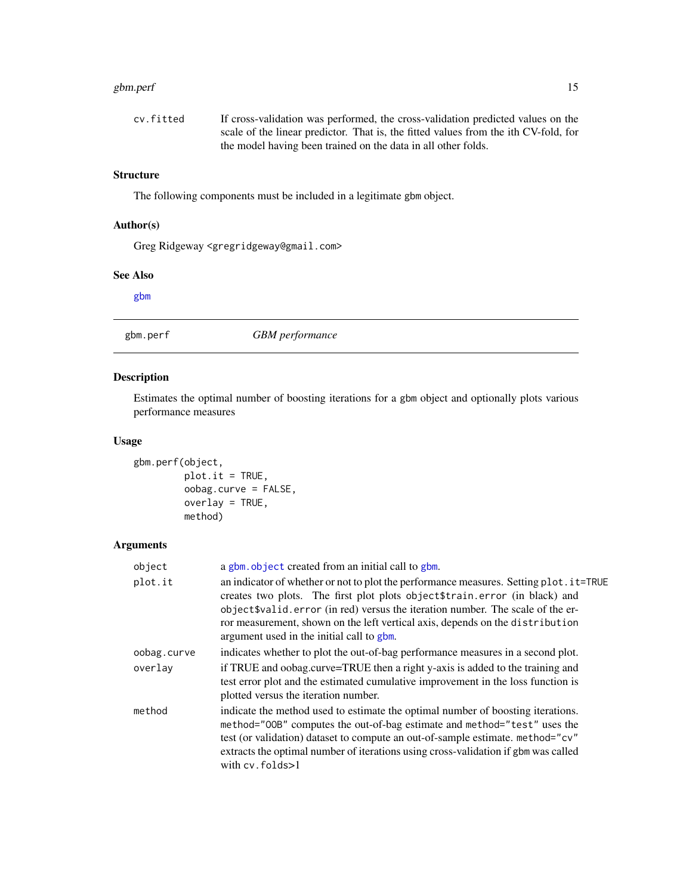#### <span id="page-14-0"></span>gbm.perf 15

| cv.fitted | If cross-validation was performed, the cross-validation predicted values on the     |
|-----------|-------------------------------------------------------------------------------------|
|           | scale of the linear predictor. That is, the fitted values from the ith CV-fold, for |
|           | the model having been trained on the data in all other folds.                       |

# **Structure**

The following components must be included in a legitimate gbm object.

# Author(s)

Greg Ridgeway <gregridgeway@gmail.com>

#### See Also

[gbm](#page-5-1)

<span id="page-14-1"></span>gbm.perf *GBM performance*

#### Description

Estimates the optimal number of boosting iterations for a gbm object and optionally plots various performance measures

#### Usage

```
gbm.perf(object,
         plot.it = TRUE,
         oobag.curve = FALSE,
         overlay = TRUE,
         method)
```
#### Arguments

| object      | a gbm. object created from an initial call to gbm.                                                                                                                                                                                                                                                                                                                                     |
|-------------|----------------------------------------------------------------------------------------------------------------------------------------------------------------------------------------------------------------------------------------------------------------------------------------------------------------------------------------------------------------------------------------|
| plot.it     | an indicator of whether or not to plot the performance measures. Setting plot. it=TRUE<br>creates two plots. The first plot plots object \$train.error (in black) and<br>object \$valid.error (in red) versus the iteration number. The scale of the er-<br>ror measurement, shown on the left vertical axis, depends on the distribution<br>argument used in the initial call to gbm. |
| oobag.curve | indicates whether to plot the out-of-bag performance measures in a second plot.                                                                                                                                                                                                                                                                                                        |
| overlav     | if TRUE and oobag.curve=TRUE then a right y-axis is added to the training and<br>test error plot and the estimated cumulative improvement in the loss function is<br>plotted versus the iteration number.                                                                                                                                                                              |
| method      | indicate the method used to estimate the optimal number of boosting iterations.<br>method="00B" computes the out-of-bag estimate and method="test" uses the<br>test (or validation) dataset to compute an out-of-sample estimate. method="cv"<br>extracts the optimal number of iterations using cross-validation if gbm was called<br>with $cv$ . $folds > 1$                         |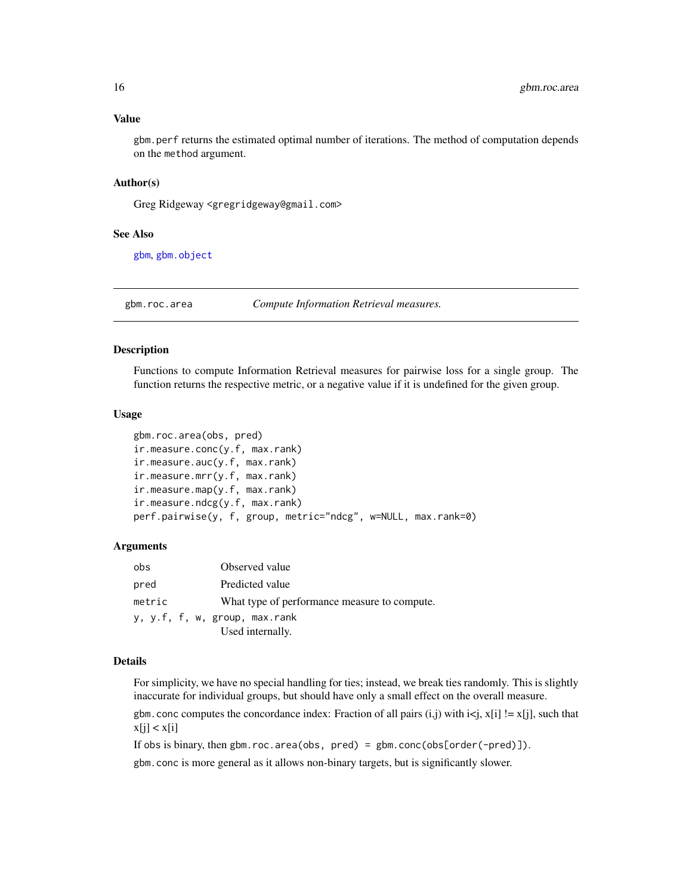#### <span id="page-15-0"></span>Value

gbm.perf returns the estimated optimal number of iterations. The method of computation depends on the method argument.

#### Author(s)

Greg Ridgeway <gregridgeway@gmail.com>

#### See Also

[gbm](#page-5-1), [gbm.object](#page-13-1)

gbm.roc.area *Compute Information Retrieval measures.*

#### Description

Functions to compute Information Retrieval measures for pairwise loss for a single group. The function returns the respective metric, or a negative value if it is undefined for the given group.

#### Usage

```
gbm.roc.area(obs, pred)
ir.measure.conc(y.f, max.rank)
ir.measure.auc(y.f, max.rank)
ir.measure.mrr(y.f, max.rank)
ir.measure.map(y.f, max.rank)
ir.measure.ndcg(y.f, max.rank)
perf.pairwise(y, f, group, metric="ndcg", w=NULL, max.rank=0)
```
#### Arguments

| obs    | Observed value                               |
|--------|----------------------------------------------|
| pred   | Predicted value                              |
| metric | What type of performance measure to compute. |
|        | y, y.f, f, w, group, max.rank                |
|        | Used internally.                             |

#### Details

For simplicity, we have no special handling for ties; instead, we break ties randomly. This is slightly inaccurate for individual groups, but should have only a small effect on the overall measure. gbm. conc computes the concordance index: Fraction of all pairs (i,j) with  $i \le j$ ,  $x[i]$  !=  $x[j]$ , such that

 $x[j] < x[i]$ 

If obs is binary, then gbm.roc.area(obs,  $pred$ ) = gbm.conc(obs[order(-pred)]).

gbm.conc is more general as it allows non-binary targets, but is significantly slower.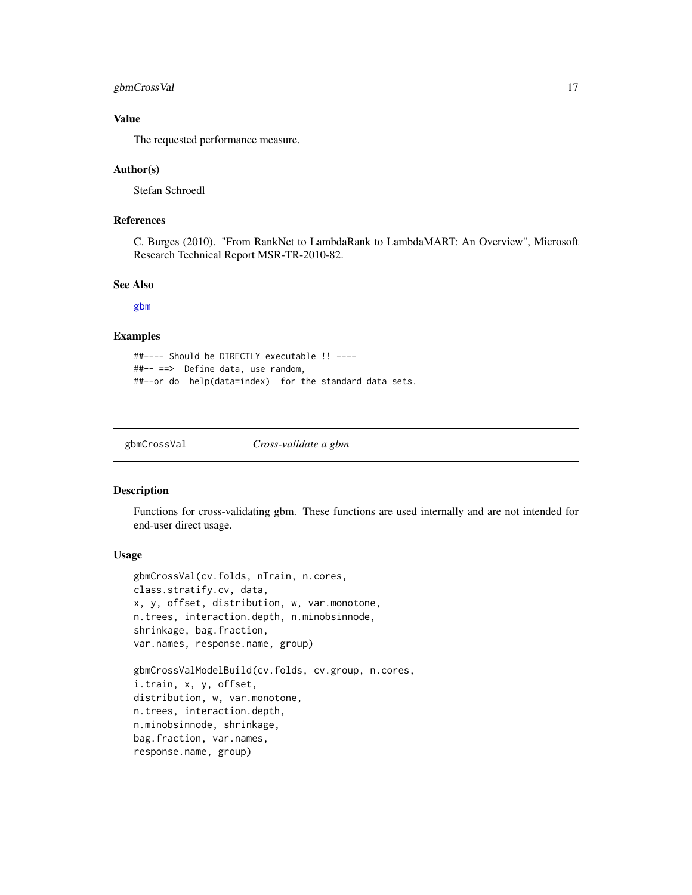#### <span id="page-16-0"></span>gbmCrossVal 17

#### Value

The requested performance measure.

#### Author(s)

Stefan Schroedl

#### References

C. Burges (2010). "From RankNet to LambdaRank to LambdaMART: An Overview", Microsoft Research Technical Report MSR-TR-2010-82.

#### See Also

[gbm](#page-5-1)

#### Examples

```
##---- Should be DIRECTLY executable !! ----
##-- ==> Define data, use random,
##--or do help(data=index) for the standard data sets.
```
gbmCrossVal *Cross-validate a gbm*

#### Description

Functions for cross-validating gbm. These functions are used internally and are not intended for end-user direct usage.

#### Usage

```
gbmCrossVal(cv.folds, nTrain, n.cores,
class.stratify.cv, data,
x, y, offset, distribution, w, var.monotone,
n.trees, interaction.depth, n.minobsinnode,
shrinkage, bag.fraction,
var.names, response.name, group)
```

```
gbmCrossValModelBuild(cv.folds, cv.group, n.cores,
i.train, x, y, offset,
distribution, w, var.monotone,
n.trees, interaction.depth,
n.minobsinnode, shrinkage,
bag.fraction, var.names,
response.name, group)
```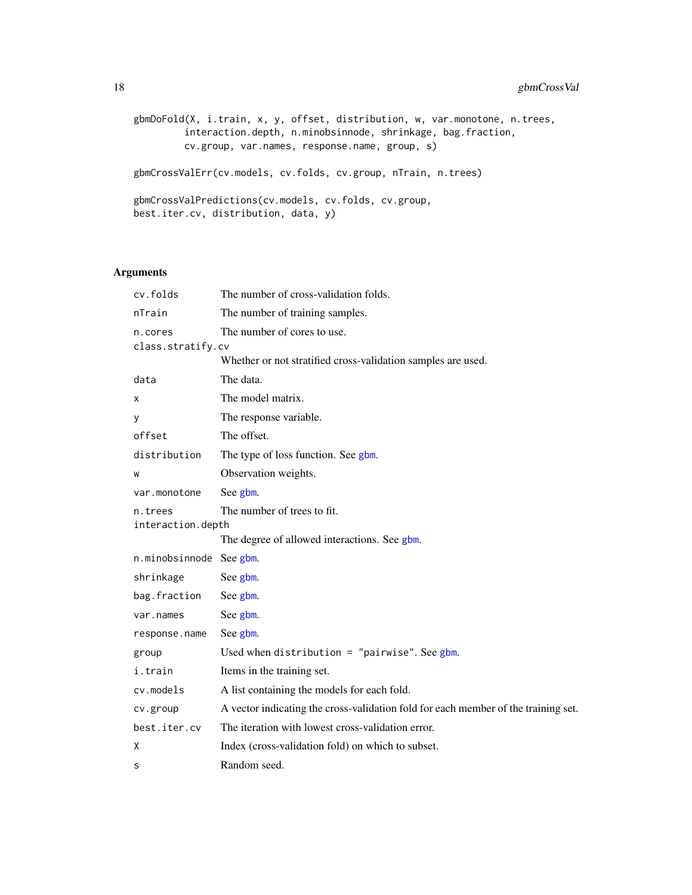```
gbmDoFold(X, i.train, x, y, offset, distribution, w, var.monotone, n.trees,
         interaction.depth, n.minobsinnode, shrinkage, bag.fraction,
        cv.group, var.names, response.name, group, s)
gbmCrossValErr(cv.models, cv.folds, cv.group, nTrain, n.trees)
gbmCrossValPredictions(cv.models, cv.folds, cv.group,
best.iter.cv, distribution, data, y)
```
#### Arguments

| cv.folds                     | The number of cross-validation folds.                                              |
|------------------------------|------------------------------------------------------------------------------------|
| nTrain                       | The number of training samples.                                                    |
| n.cores                      | The number of cores to use.                                                        |
| class.stratify.cv            |                                                                                    |
|                              | Whether or not stratified cross-validation samples are used.                       |
| data                         | The data.                                                                          |
| х                            | The model matrix.                                                                  |
| у                            | The response variable.                                                             |
| offset                       | The offset.                                                                        |
| distribution                 | The type of loss function. See gbm.                                                |
| W                            | Observation weights.                                                               |
| var.monotone                 | See gbm.                                                                           |
| n.trees<br>interaction.depth | The number of trees to fit.                                                        |
|                              | The degree of allowed interactions. See gbm.                                       |
| n.minobsinnode See gbm.      |                                                                                    |
| shrinkage                    | See gbm.                                                                           |
| bag.fraction                 | See gbm.                                                                           |
| var.names                    | See gbm.                                                                           |
| response.name                | See gbm.                                                                           |
| group                        | Used when distribution = "pairwise". See gbm.                                      |
| i.train                      | Items in the training set.                                                         |
| cv.models                    | A list containing the models for each fold.                                        |
| cv.group                     | A vector indicating the cross-validation fold for each member of the training set. |
| best.iter.cv                 | The iteration with lowest cross-validation error.                                  |
| X                            | Index (cross-validation fold) on which to subset.                                  |
| S                            | Random seed.                                                                       |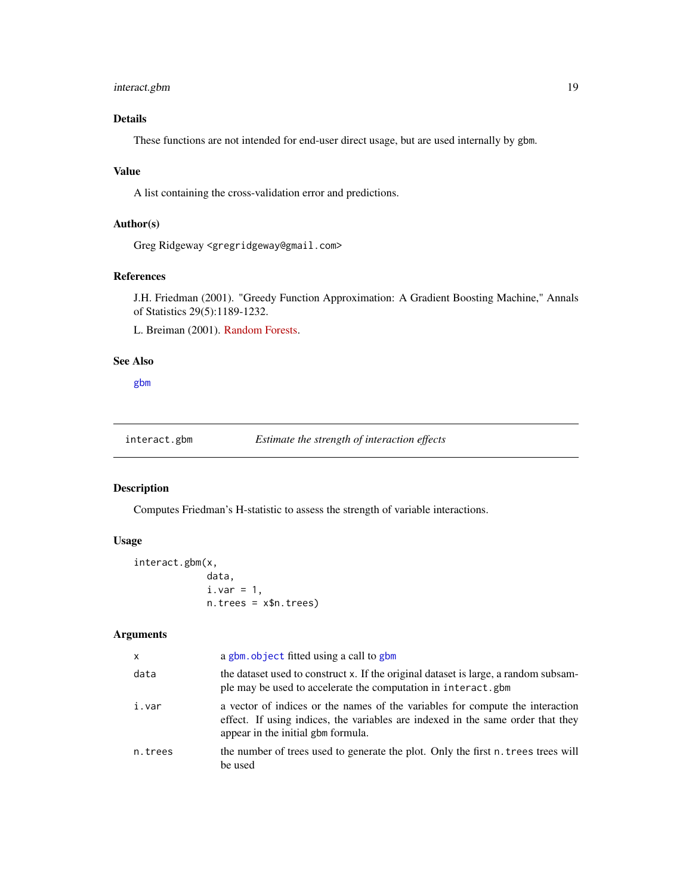#### <span id="page-18-0"></span>interact.gbm 19

# Details

These functions are not intended for end-user direct usage, but are used internally by gbm.

#### Value

A list containing the cross-validation error and predictions.

#### Author(s)

Greg Ridgeway <gregridgeway@gmail.com>

### References

J.H. Friedman (2001). "Greedy Function Approximation: A Gradient Boosting Machine," Annals of Statistics 29(5):1189-1232.

L. Breiman (2001). [Random Forests.](http://oz.berkeley.edu/users/breiman/randomforest2001.pdf)

# See Also

[gbm](#page-5-1)

interact.gbm *Estimate the strength of interaction effects*

#### Description

Computes Friedman's H-statistic to assess the strength of variable interactions.

# Usage

interact.gbm(x, data,  $i.var = 1$ , n.trees = x\$n.trees)

#### Arguments

| $\times$ | a gbm, object fitted using a call to gbm                                                                                                                                                               |
|----------|--------------------------------------------------------------------------------------------------------------------------------------------------------------------------------------------------------|
| data     | the dataset used to construct x. If the original dataset is large, a random subsam-<br>ple may be used to accelerate the computation in interact.gbm                                                   |
| i.var    | a vector of indices or the names of the variables for compute the interaction<br>effect. If using indices, the variables are indexed in the same order that they<br>appear in the initial gbm formula. |
| n.trees  | the number of trees used to generate the plot. Only the first n. trees trees will<br>be used                                                                                                           |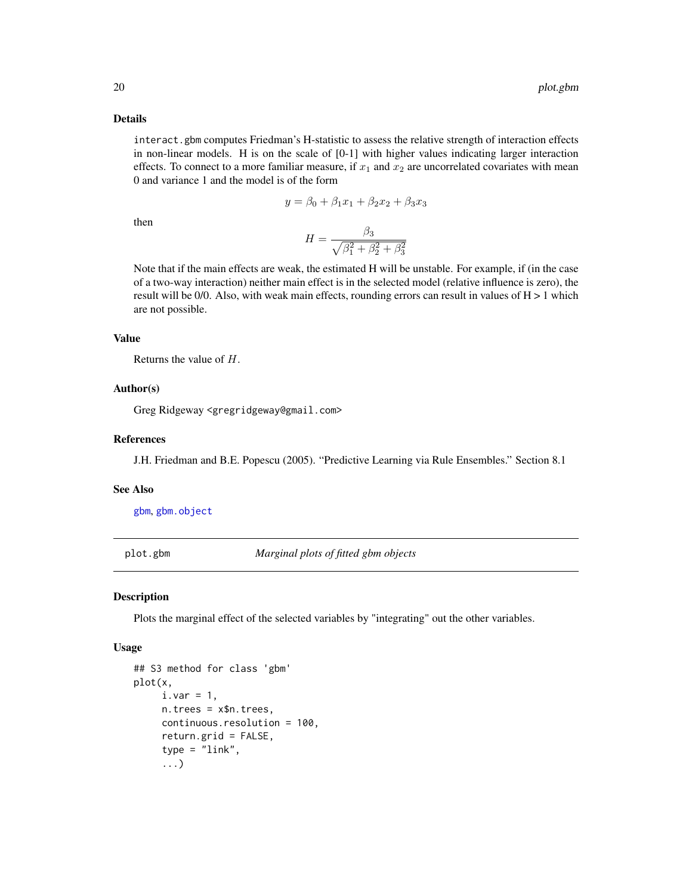#### <span id="page-19-0"></span>Details

interact.gbm computes Friedman's H-statistic to assess the relative strength of interaction effects in non-linear models. H is on the scale of [0-1] with higher values indicating larger interaction effects. To connect to a more familiar measure, if  $x_1$  and  $x_2$  are uncorrelated covariates with mean 0 and variance 1 and the model is of the form

$$
y = \beta_0 + \beta_1 x_1 + \beta_2 x_2 + \beta_3 x_3
$$

then

$$
H = \frac{\beta_3}{\sqrt{\beta_1^2 + \beta_2^2 + \beta_3^2}}
$$

Note that if the main effects are weak, the estimated H will be unstable. For example, if (in the case of a two-way interaction) neither main effect is in the selected model (relative influence is zero), the result will be  $0/0$ . Also, with weak main effects, rounding errors can result in values of  $H > 1$  which are not possible.

#### Value

Returns the value of H.

#### Author(s)

Greg Ridgeway <gregridgeway@gmail.com>

#### References

J.H. Friedman and B.E. Popescu (2005). "Predictive Learning via Rule Ensembles." Section 8.1

#### See Also

[gbm](#page-5-1), [gbm.object](#page-13-1)

<span id="page-19-1"></span>plot.gbm *Marginal plots of fitted gbm objects*

### Description

Plots the marginal effect of the selected variables by "integrating" out the other variables.

#### Usage

```
## S3 method for class 'gbm'
plot(x,
     i.var = 1,
     n.trees = x$n.trees,
     continuous.resolution = 100,
     return.grid = FALSE,
     type = "link",...)
```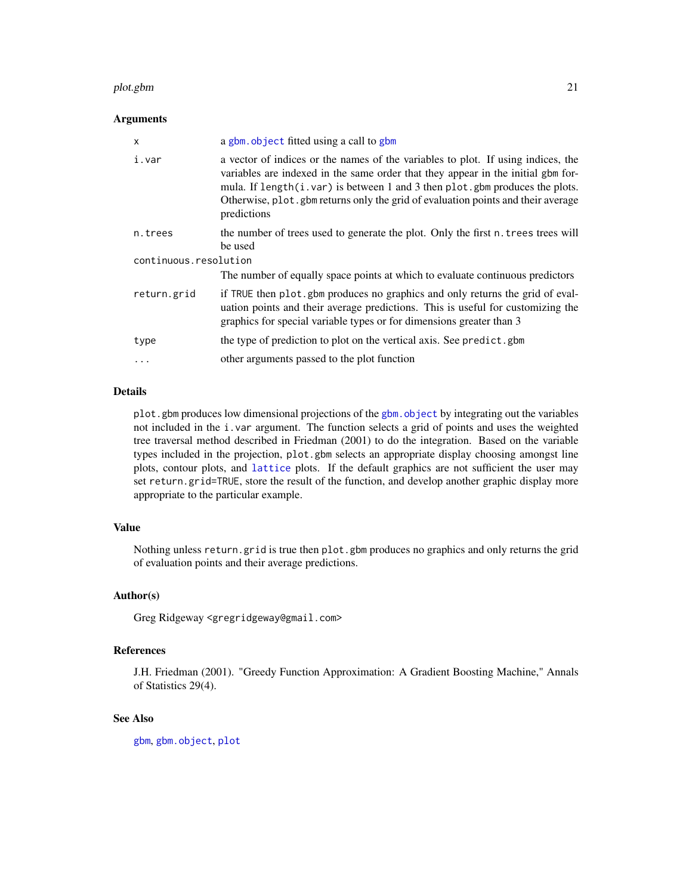#### <span id="page-20-0"></span>plot.gbm 21

#### Arguments

| x                     | a gbm. object fitted using a call to gbm                                                                                                                                                                                                                                                                                                                      |  |
|-----------------------|---------------------------------------------------------------------------------------------------------------------------------------------------------------------------------------------------------------------------------------------------------------------------------------------------------------------------------------------------------------|--|
| i.var                 | a vector of indices or the names of the variables to plot. If using indices, the<br>variables are indexed in the same order that they appear in the initial gbm for-<br>mula. If length( $i$ , var) is between 1 and 3 then plot, gbm produces the plots.<br>Otherwise, plot. gbm returns only the grid of evaluation points and their average<br>predictions |  |
| n.trees               | the number of trees used to generate the plot. Only the first n. trees trees will<br>be used                                                                                                                                                                                                                                                                  |  |
| continuous.resolution |                                                                                                                                                                                                                                                                                                                                                               |  |
|                       | The number of equally space points at which to evaluate continuous predictors                                                                                                                                                                                                                                                                                 |  |
| return.grid           | if TRUE then plot gbm produces no graphics and only returns the grid of eval-<br>uation points and their average predictions. This is useful for customizing the<br>graphics for special variable types or for dimensions greater than 3                                                                                                                      |  |
| type                  | the type of prediction to plot on the vertical axis. See predict.gbm                                                                                                                                                                                                                                                                                          |  |
| $\ddots$              | other arguments passed to the plot function                                                                                                                                                                                                                                                                                                                   |  |

#### Details

plot.gbm produces low dimensional projections of the [gbm.object](#page-13-1) by integrating out the variables not included in the i.var argument. The function selects a grid of points and uses the weighted tree traversal method described in Friedman (2001) to do the integration. Based on the variable types included in the projection, plot.gbm selects an appropriate display choosing amongst line plots, contour plots, and [lattice](#page-0-0) plots. If the default graphics are not sufficient the user may set return.grid=TRUE, store the result of the function, and develop another graphic display more appropriate to the particular example.

#### Value

Nothing unless return.grid is true then plot.gbm produces no graphics and only returns the grid of evaluation points and their average predictions.

#### Author(s)

Greg Ridgeway <gregridgeway@gmail.com>

#### References

J.H. Friedman (2001). "Greedy Function Approximation: A Gradient Boosting Machine," Annals of Statistics 29(4).

#### See Also

[gbm](#page-5-1), [gbm.object](#page-13-1), [plot](#page-0-0)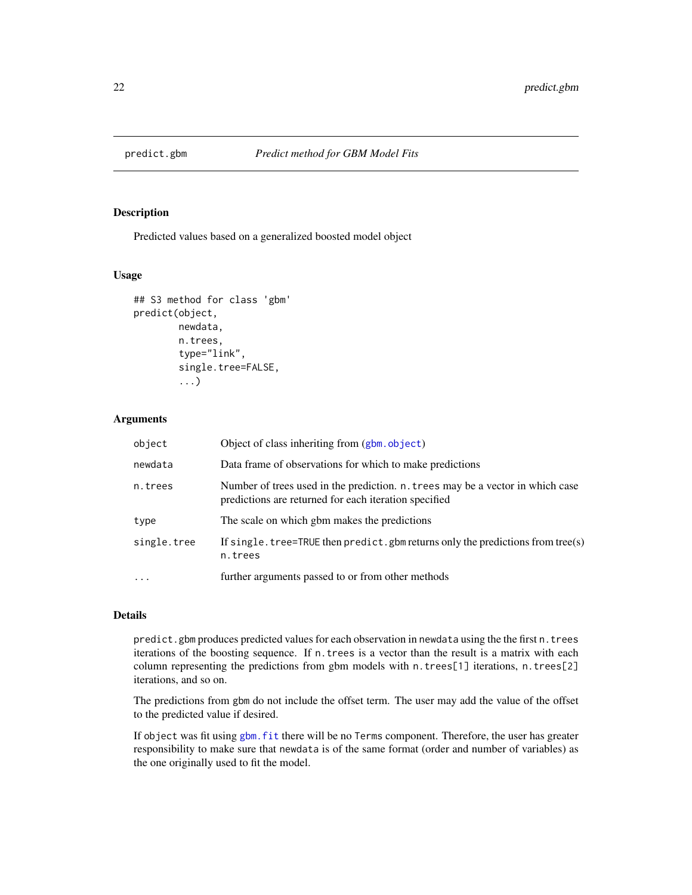<span id="page-21-1"></span><span id="page-21-0"></span>

#### Description

Predicted values based on a generalized boosted model object

#### Usage

```
## S3 method for class 'gbm'
predict(object,
        newdata,
        n.trees,
        type="link",
        single.tree=FALSE,
        ...)
```
#### Arguments

| object      | Object of class inheriting from (gbm.object)                                                                                            |
|-------------|-----------------------------------------------------------------------------------------------------------------------------------------|
| newdata     | Data frame of observations for which to make predictions                                                                                |
| n.trees     | Number of trees used in the prediction. n. trees may be a vector in which case<br>predictions are returned for each iteration specified |
| type        | The scale on which gbm makes the predictions                                                                                            |
| single.tree | If single. tree=TRUE then predict. gbm returns only the predictions from tree(s)<br>n.trees                                             |
| $\ddots$ .  | further arguments passed to or from other methods                                                                                       |

#### Details

predict.gbm produces predicted values for each observation in newdata using the the first n.trees iterations of the boosting sequence. If n.trees is a vector than the result is a matrix with each column representing the predictions from gbm models with n.trees[1] iterations, n.trees[2] iterations, and so on.

The predictions from gbm do not include the offset term. The user may add the value of the offset to the predicted value if desired.

If object was fit using [gbm.fit](#page-5-2) there will be no Terms component. Therefore, the user has greater responsibility to make sure that newdata is of the same format (order and number of variables) as the one originally used to fit the model.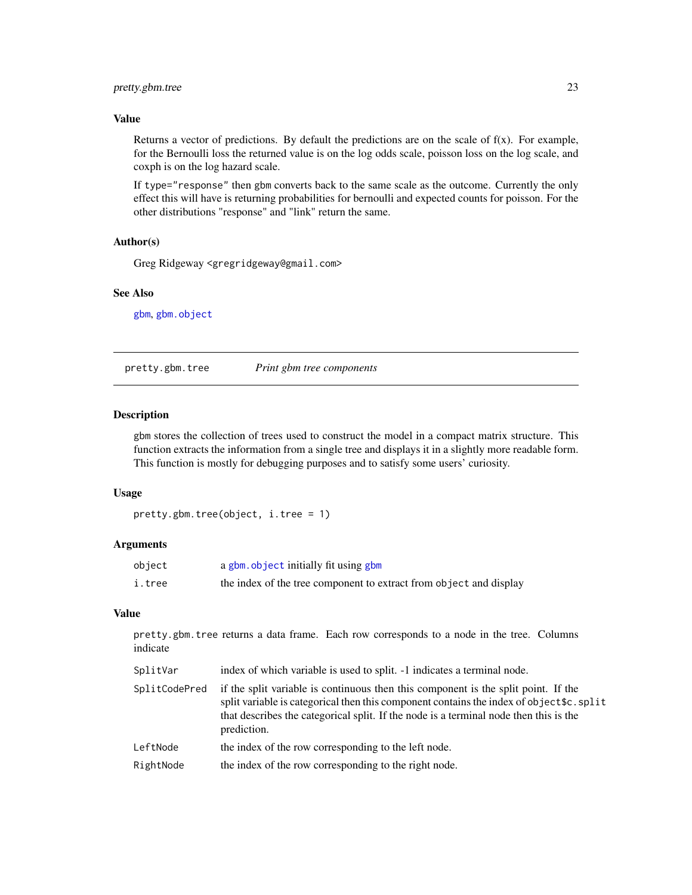#### <span id="page-22-0"></span>pretty.gbm.tree 23

#### Value

Returns a vector of predictions. By default the predictions are on the scale of  $f(x)$ . For example, for the Bernoulli loss the returned value is on the log odds scale, poisson loss on the log scale, and coxph is on the log hazard scale.

If type="response" then gbm converts back to the same scale as the outcome. Currently the only effect this will have is returning probabilities for bernoulli and expected counts for poisson. For the other distributions "response" and "link" return the same.

#### Author(s)

Greg Ridgeway <gregridgeway@gmail.com>

### See Also

[gbm](#page-5-1), [gbm.object](#page-13-1)

<span id="page-22-1"></span>pretty.gbm.tree *Print gbm tree components*

#### Description

gbm stores the collection of trees used to construct the model in a compact matrix structure. This function extracts the information from a single tree and displays it in a slightly more readable form. This function is mostly for debugging purposes and to satisfy some users' curiosity.

#### Usage

```
pretty.gbm.tree(object, i.tree = 1)
```
#### Arguments

| object | a gbm. object initially fit using gbm                              |
|--------|--------------------------------------------------------------------|
| i.tree | the index of the tree component to extract from object and display |

#### Value

pretty.gbm.tree returns a data frame. Each row corresponds to a node in the tree. Columns indicate

| SplitVar      | index of which variable is used to split. -1 indicates a terminal node.                                                                                                                                                                                                                 |
|---------------|-----------------------------------------------------------------------------------------------------------------------------------------------------------------------------------------------------------------------------------------------------------------------------------------|
| SplitCodePred | if the split variable is continuous then this component is the split point. If the<br>split variable is categorical then this component contains the index of object \$c. split<br>that describes the categorical split. If the node is a terminal node then this is the<br>prediction. |
| LeftNode      | the index of the row corresponding to the left node.                                                                                                                                                                                                                                    |
| RightNode     | the index of the row corresponding to the right node.                                                                                                                                                                                                                                   |
|               |                                                                                                                                                                                                                                                                                         |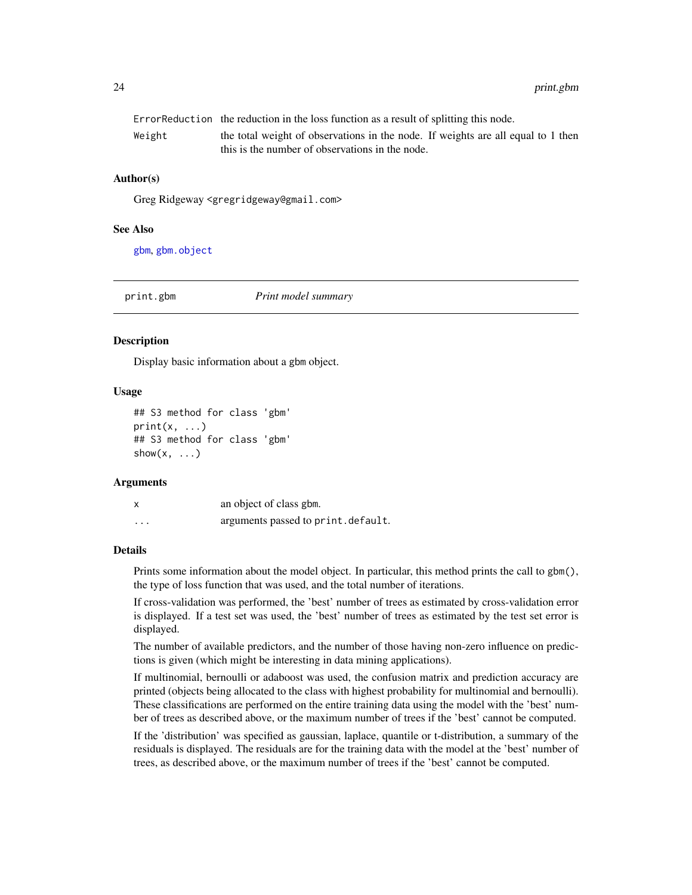<span id="page-23-0"></span>

|        | Error Reduction the reduction in the loss function as a result of splitting this node. |
|--------|----------------------------------------------------------------------------------------|
| Weight | the total weight of observations in the node. If weights are all equal to 1 then       |
|        | this is the number of observations in the node.                                        |

#### Author(s)

Greg Ridgeway <gregridgeway@gmail.com>

#### See Also

[gbm](#page-5-1), [gbm.object](#page-13-1)

print.gbm *Print model summary*

#### **Description**

Display basic information about a gbm object.

#### Usage

```
## S3 method for class 'gbm'
print(x, \ldots)## S3 method for class 'gbm'
show(x, \ldots)
```
#### Arguments

|          | an object of class gbm.            |
|----------|------------------------------------|
| $\cdots$ | arguments passed to print.default. |

#### **Details**

Prints some information about the model object. In particular, this method prints the call to gbm(), the type of loss function that was used, and the total number of iterations.

If cross-validation was performed, the 'best' number of trees as estimated by cross-validation error is displayed. If a test set was used, the 'best' number of trees as estimated by the test set error is displayed.

The number of available predictors, and the number of those having non-zero influence on predictions is given (which might be interesting in data mining applications).

If multinomial, bernoulli or adaboost was used, the confusion matrix and prediction accuracy are printed (objects being allocated to the class with highest probability for multinomial and bernoulli). These classifications are performed on the entire training data using the model with the 'best' number of trees as described above, or the maximum number of trees if the 'best' cannot be computed.

If the 'distribution' was specified as gaussian, laplace, quantile or t-distribution, a summary of the residuals is displayed. The residuals are for the training data with the model at the 'best' number of trees, as described above, or the maximum number of trees if the 'best' cannot be computed.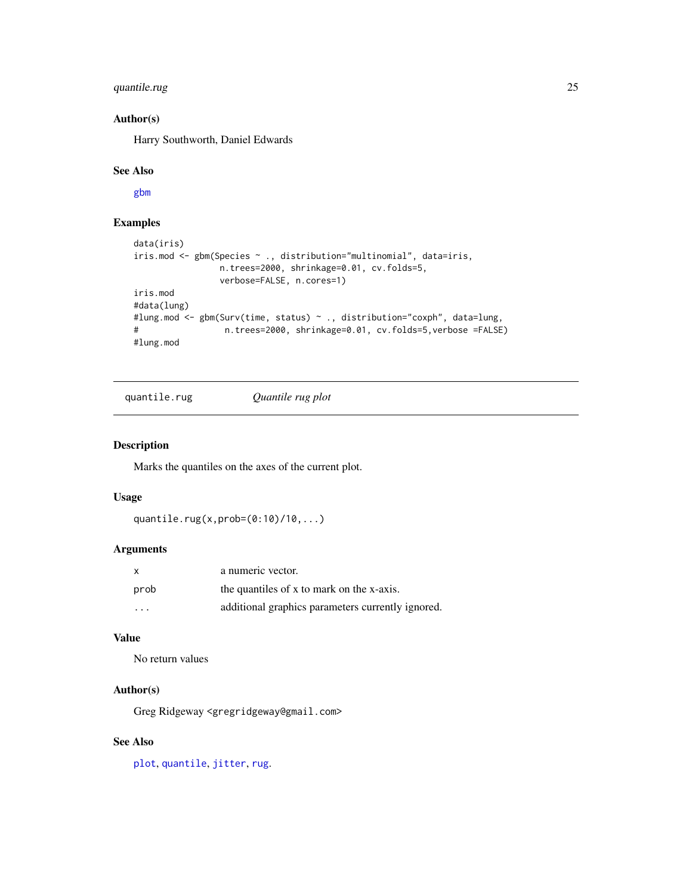#### <span id="page-24-0"></span>quantile.rug 25

#### Author(s)

Harry Southworth, Daniel Edwards

#### See Also

[gbm](#page-5-1)

### Examples

```
data(iris)
iris.mod <- gbm(Species ~ ., distribution="multinomial", data=iris,
                n.trees=2000, shrinkage=0.01, cv.folds=5,
                verbose=FALSE, n.cores=1)
iris.mod
#data(lung)
#lung.mod <- gbm(Surv(time, status) ~ ., distribution="coxph", data=lung,
# n.trees=2000, shrinkage=0.01, cv.folds=5,verbose =FALSE)
#lung.mod
```
quantile.rug *Quantile rug plot*

#### Description

Marks the quantiles on the axes of the current plot.

#### Usage

```
quantile.rug(x,prob=(0:10)/10,...)
```
#### Arguments

| $\mathbf{x}$            | a numeric vector.                                 |
|-------------------------|---------------------------------------------------|
| prob                    | the quantiles of x to mark on the x-axis.         |
| $\cdot$ $\cdot$ $\cdot$ | additional graphics parameters currently ignored. |

#### Value

No return values

#### Author(s)

Greg Ridgeway <gregridgeway@gmail.com>

#### See Also

[plot](#page-0-0), [quantile](#page-0-0), [jitter](#page-0-0), [rug](#page-0-0).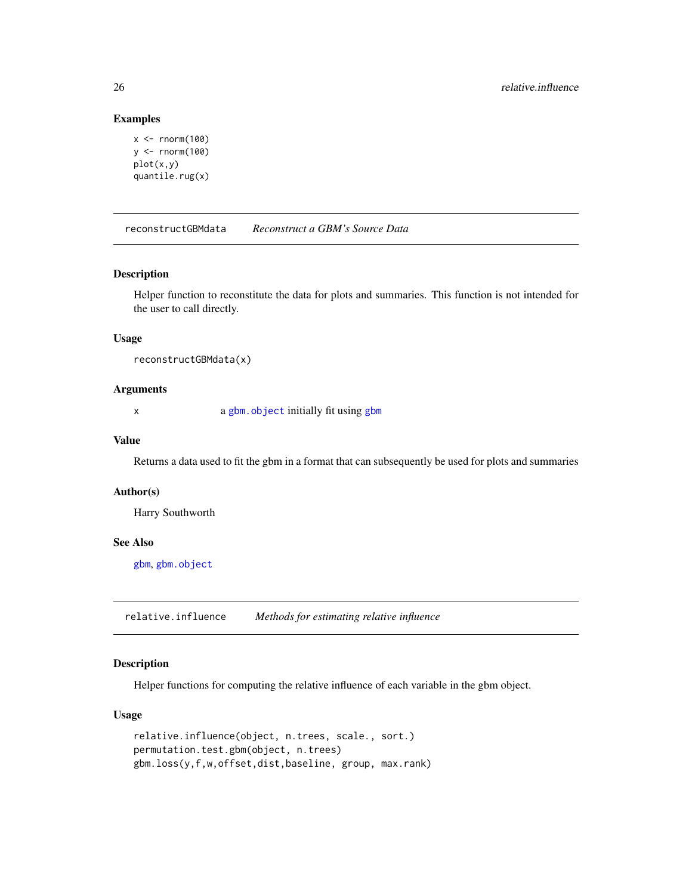#### Examples

```
x < - rnorm(100)
y \le - rnorm(100)plot(x,y)
quantile.rug(x)
```
reconstructGBMdata *Reconstruct a GBM's Source Data*

#### Description

Helper function to reconstitute the data for plots and summaries. This function is not intended for the user to call directly.

#### Usage

```
reconstructGBMdata(x)
```
#### Arguments

x a [gbm.object](#page-13-1) initially fit using [gbm](#page-5-1)

#### Value

Returns a data used to fit the gbm in a format that can subsequently be used for plots and summaries

#### Author(s)

Harry Southworth

#### See Also

[gbm](#page-5-1), [gbm.object](#page-13-1)

<span id="page-25-1"></span>relative.influence *Methods for estimating relative influence*

#### <span id="page-25-2"></span>Description

Helper functions for computing the relative influence of each variable in the gbm object.

#### Usage

```
relative.influence(object, n.trees, scale., sort.)
permutation.test.gbm(object, n.trees)
gbm.loss(y,f,w,offset,dist,baseline, group, max.rank)
```
<span id="page-25-0"></span>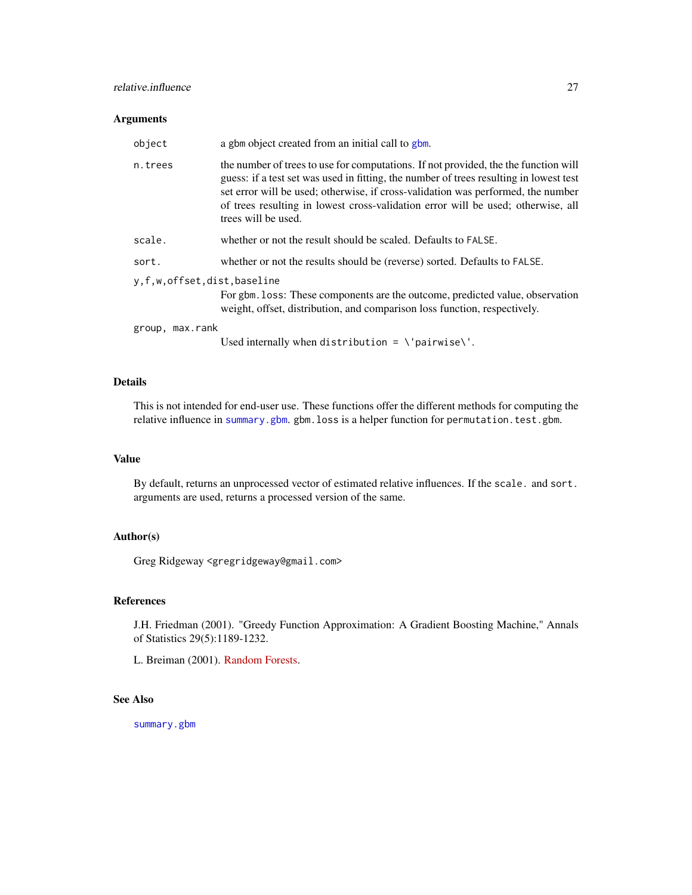#### <span id="page-26-0"></span>relative.influence 27

#### Arguments

| object                     | a gbm object created from an initial call to gbm.                                                                                                                                                                                                                                                                                                                            |
|----------------------------|------------------------------------------------------------------------------------------------------------------------------------------------------------------------------------------------------------------------------------------------------------------------------------------------------------------------------------------------------------------------------|
| n.trees                    | the number of trees to use for computations. If not provided, the the function will<br>guess: if a test set was used in fitting, the number of trees resulting in lowest test<br>set error will be used; otherwise, if cross-validation was performed, the number<br>of trees resulting in lowest cross-validation error will be used; otherwise, all<br>trees will be used. |
| scale.                     | whether or not the result should be scaled. Defaults to FALSE.                                                                                                                                                                                                                                                                                                               |
| sort.                      | whether or not the results should be (reverse) sorted. Defaults to FALSE.                                                                                                                                                                                                                                                                                                    |
| y,f,w,offset,dist,baseline |                                                                                                                                                                                                                                                                                                                                                                              |
|                            | For gbm. loss: These components are the outcome, predicted value, observation<br>weight, offset, distribution, and comparison loss function, respectively.                                                                                                                                                                                                                   |
| group, max.rank            |                                                                                                                                                                                                                                                                                                                                                                              |
|                            | Used internally when distribution = $\iota$ pairwise $\iota'$ .                                                                                                                                                                                                                                                                                                              |

#### Details

This is not intended for end-user use. These functions offer the different methods for computing the relative influence in [summary.gbm](#page-29-1). gbm.loss is a helper function for permutation.test.gbm.

#### Value

By default, returns an unprocessed vector of estimated relative influences. If the scale. and sort. arguments are used, returns a processed version of the same.

#### Author(s)

Greg Ridgeway <gregridgeway@gmail.com>

#### References

J.H. Friedman (2001). "Greedy Function Approximation: A Gradient Boosting Machine," Annals of Statistics 29(5):1189-1232.

L. Breiman (2001). [Random Forests.](http://oz.berkeley.edu/users/breiman/randomforest2001.pdf)

# See Also

[summary.gbm](#page-29-1)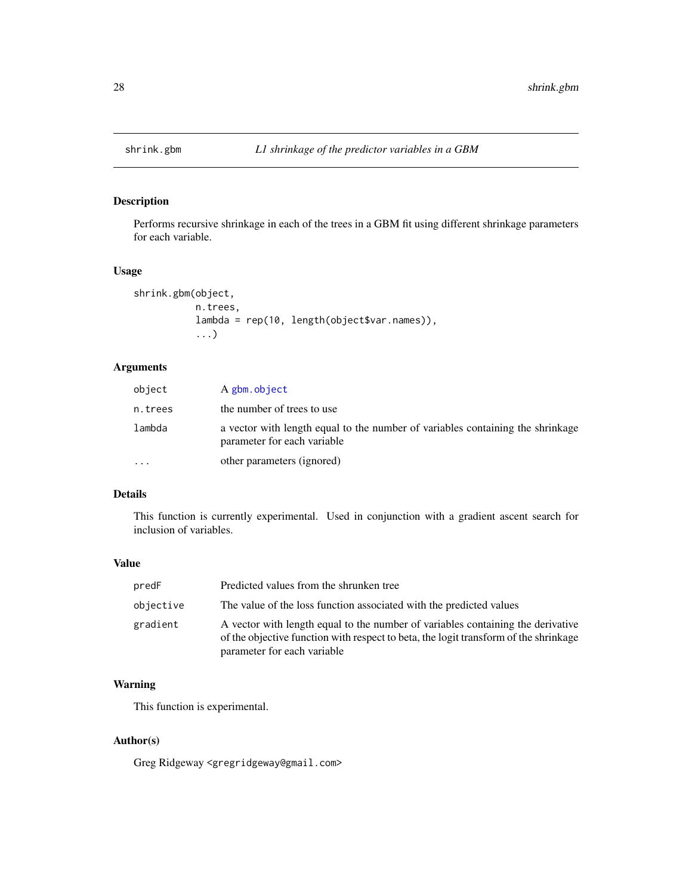<span id="page-27-1"></span><span id="page-27-0"></span>

#### Description

Performs recursive shrinkage in each of the trees in a GBM fit using different shrinkage parameters for each variable.

#### Usage

```
shrink.gbm(object,
           n.trees,
           lambda = rep(10, length(object$var.names)),
           ...)
```
### Arguments

| object    | A gbm.object                                                                                                  |
|-----------|---------------------------------------------------------------------------------------------------------------|
| n.trees   | the number of trees to use                                                                                    |
| lambda    | a vector with length equal to the number of variables containing the shrinkage<br>parameter for each variable |
| $\ddotsc$ | other parameters (ignored)                                                                                    |

#### Details

This function is currently experimental. Used in conjunction with a gradient ascent search for inclusion of variables.

#### Value

| predF     | Predicted values from the shrunken tree                                                                                                                                                                |
|-----------|--------------------------------------------------------------------------------------------------------------------------------------------------------------------------------------------------------|
| objective | The value of the loss function associated with the predicted values                                                                                                                                    |
| gradient  | A vector with length equal to the number of variables containing the derivative<br>of the objective function with respect to beta, the logit transform of the shrinkage<br>parameter for each variable |

#### Warning

This function is experimental.

#### Author(s)

Greg Ridgeway <gregridgeway@gmail.com>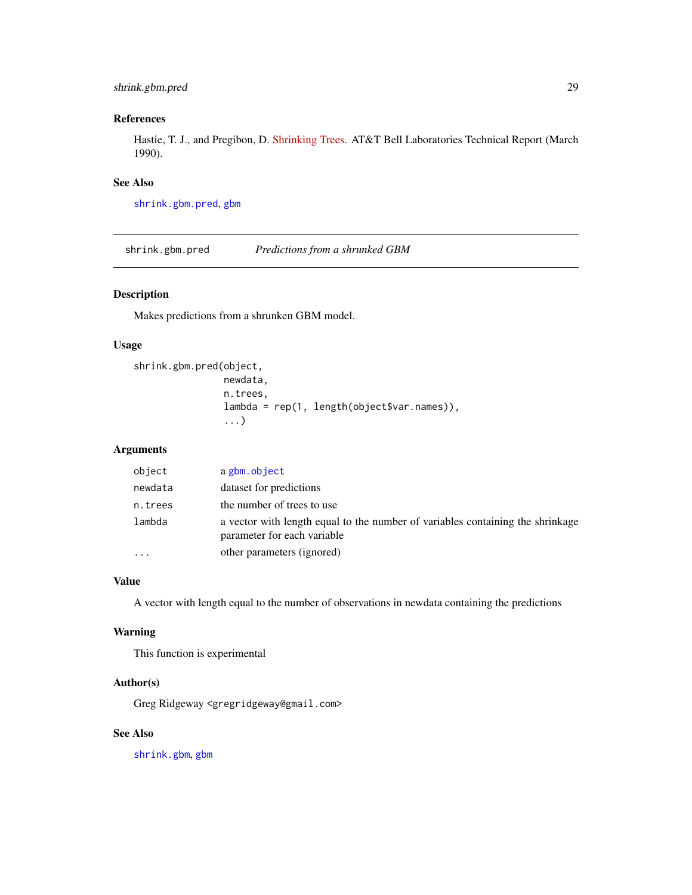#### <span id="page-28-0"></span>shrink.gbm.pred 29

#### References

Hastie, T. J., and Pregibon, D. [Shrinking Trees.](http://www-stat.stanford.edu/~hastie/Papers/shrinktree.ps) AT&T Bell Laboratories Technical Report (March 1990).

#### See Also

[shrink.gbm.pred](#page-28-1), [gbm](#page-5-1)

<span id="page-28-1"></span>shrink.gbm.pred *Predictions from a shrunked GBM*

#### Description

Makes predictions from a shrunken GBM model.

#### Usage

```
shrink.gbm.pred(object,
                newdata,
                n.trees,
                lambda = rep(1, length(object$var.names)),
                ...)
```
#### Arguments

| object  | a gbm.object                                                                                                  |
|---------|---------------------------------------------------------------------------------------------------------------|
| newdata | dataset for predictions                                                                                       |
| n.trees | the number of trees to use                                                                                    |
| lambda  | a vector with length equal to the number of variables containing the shrinkage<br>parameter for each variable |
|         | other parameters (ignored)                                                                                    |

#### Value

A vector with length equal to the number of observations in newdata containing the predictions

#### Warning

This function is experimental

#### Author(s)

Greg Ridgeway <gregridgeway@gmail.com>

#### See Also

[shrink.gbm](#page-27-1), [gbm](#page-5-1)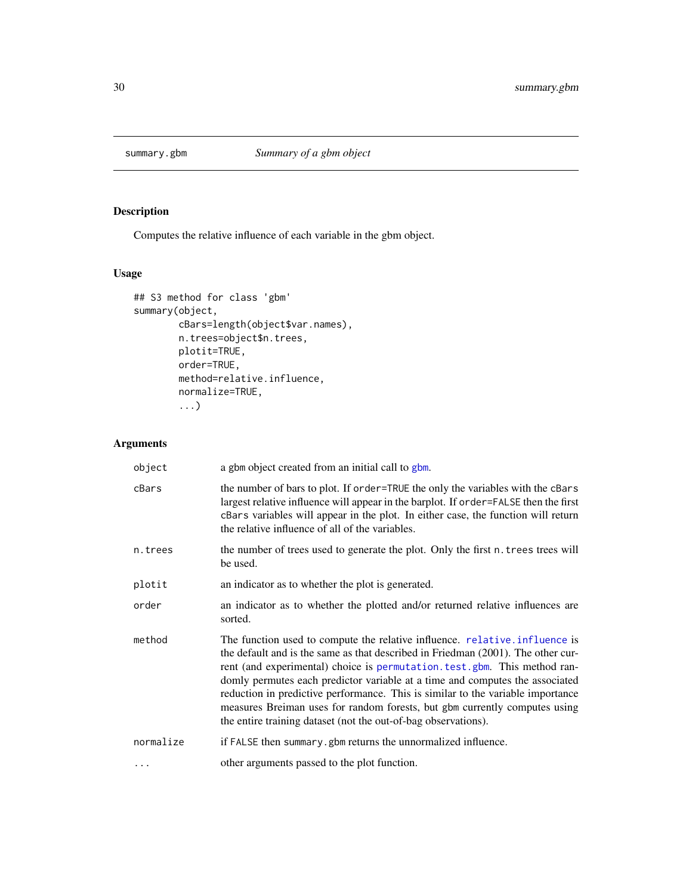<span id="page-29-1"></span><span id="page-29-0"></span>

# Description

Computes the relative influence of each variable in the gbm object.

# Usage

```
## S3 method for class 'gbm'
summary(object,
        cBars=length(object$var.names),
        n.trees=object$n.trees,
        plotit=TRUE,
        order=TRUE,
        method=relative.influence,
        normalize=TRUE,
        ...)
```
# Arguments

| object    | a gbm object created from an initial call to gbm.                                                                                                                                                                                                                                                                                                                                                                                                                                                                                                               |
|-----------|-----------------------------------------------------------------------------------------------------------------------------------------------------------------------------------------------------------------------------------------------------------------------------------------------------------------------------------------------------------------------------------------------------------------------------------------------------------------------------------------------------------------------------------------------------------------|
| cBars     | the number of bars to plot. If order=TRUE the only the variables with the cBars<br>largest relative influence will appear in the barplot. If order=FALSE then the first<br>cBars variables will appear in the plot. In either case, the function will return<br>the relative influence of all of the variables.                                                                                                                                                                                                                                                 |
| n.trees   | the number of trees used to generate the plot. Only the first n. trees trees will<br>be used.                                                                                                                                                                                                                                                                                                                                                                                                                                                                   |
| plotit    | an indicator as to whether the plot is generated.                                                                                                                                                                                                                                                                                                                                                                                                                                                                                                               |
| order     | an indicator as to whether the plotted and/or returned relative influences are<br>sorted.                                                                                                                                                                                                                                                                                                                                                                                                                                                                       |
| method    | The function used to compute the relative influence. relative.influence is<br>the default and is the same as that described in Friedman (2001). The other cur-<br>rent (and experimental) choice is permutation. test. gbm. This method ran-<br>domly permutes each predictor variable at a time and computes the associated<br>reduction in predictive performance. This is similar to the variable importance<br>measures Breiman uses for random forests, but gbm currently computes using<br>the entire training dataset (not the out-of-bag observations). |
| normalize | if FALSE then summary, gbm returns the unnormalized influence.                                                                                                                                                                                                                                                                                                                                                                                                                                                                                                  |
| $\ddots$  | other arguments passed to the plot function.                                                                                                                                                                                                                                                                                                                                                                                                                                                                                                                    |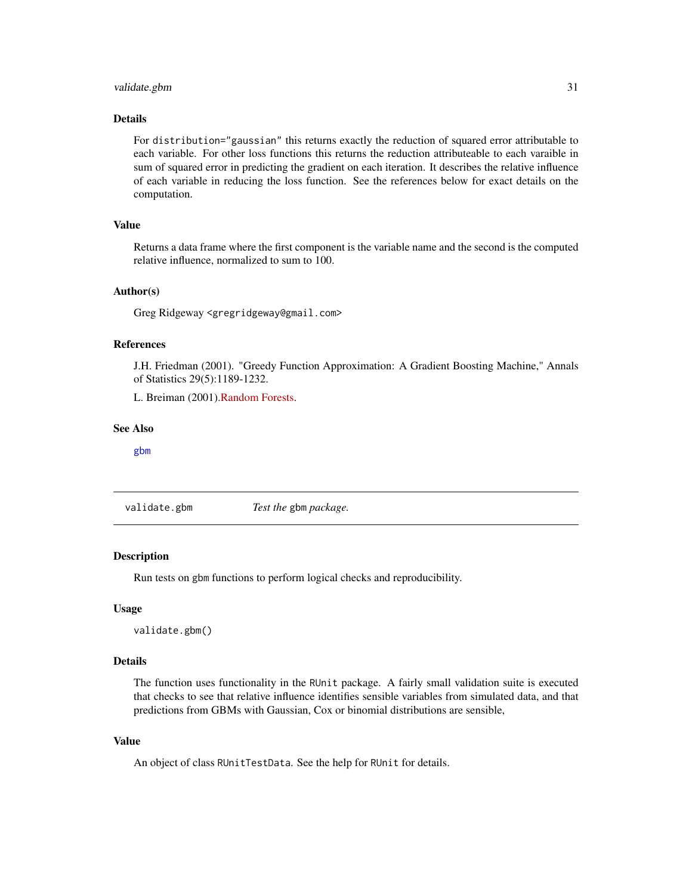#### <span id="page-30-0"></span>validate.gbm 31

#### Details

For distribution="gaussian" this returns exactly the reduction of squared error attributable to each variable. For other loss functions this returns the reduction attributeable to each varaible in sum of squared error in predicting the gradient on each iteration. It describes the relative influence of each variable in reducing the loss function. See the references below for exact details on the computation.

#### Value

Returns a data frame where the first component is the variable name and the second is the computed relative influence, normalized to sum to 100.

#### Author(s)

Greg Ridgeway <gregridgeway@gmail.com>

#### References

J.H. Friedman (2001). "Greedy Function Approximation: A Gradient Boosting Machine," Annals of Statistics 29(5):1189-1232.

L. Breiman (2001)[.Random Forests.](http://oz.berkeley.edu/users/breiman/randomforest2001.pdf)

#### See Also

[gbm](#page-5-1)

validate.gbm *Test the* gbm *package.*

#### **Description**

Run tests on gbm functions to perform logical checks and reproducibility.

#### Usage

validate.gbm()

#### Details

The function uses functionality in the RUnit package. A fairly small validation suite is executed that checks to see that relative influence identifies sensible variables from simulated data, and that predictions from GBMs with Gaussian, Cox or binomial distributions are sensible,

#### Value

An object of class RUnitTestData. See the help for RUnit for details.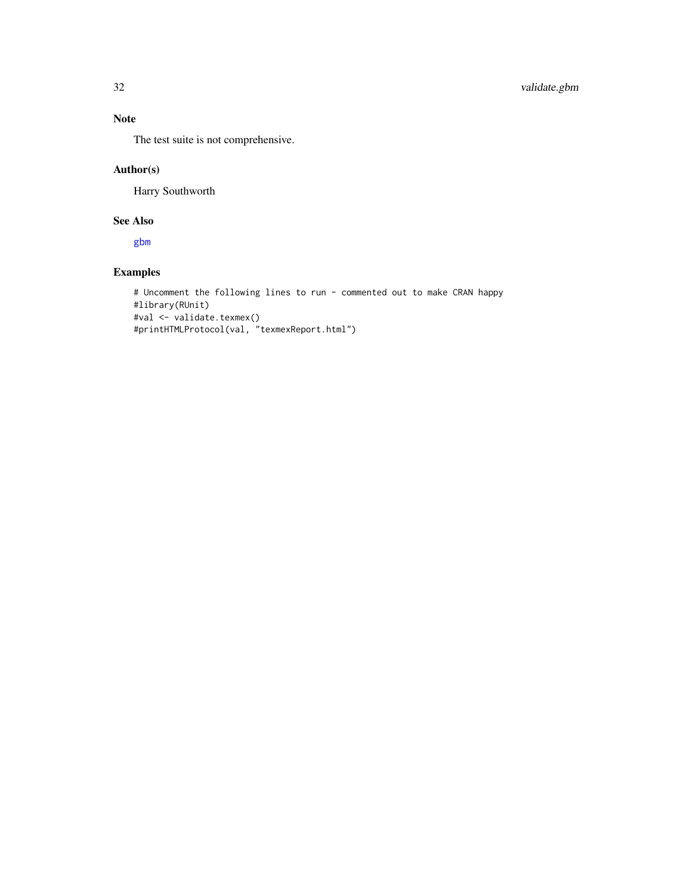### Note

The test suite is not comprehensive.

#### Author(s)

Harry Southworth

### See Also

[gbm](#page-5-1)

# Examples

```
# Uncomment the following lines to run - commented out to make CRAN happy
#library(RUnit)
#val <- validate.texmex()
#printHTMLProtocol(val, "texmexReport.html")
```
<span id="page-31-0"></span>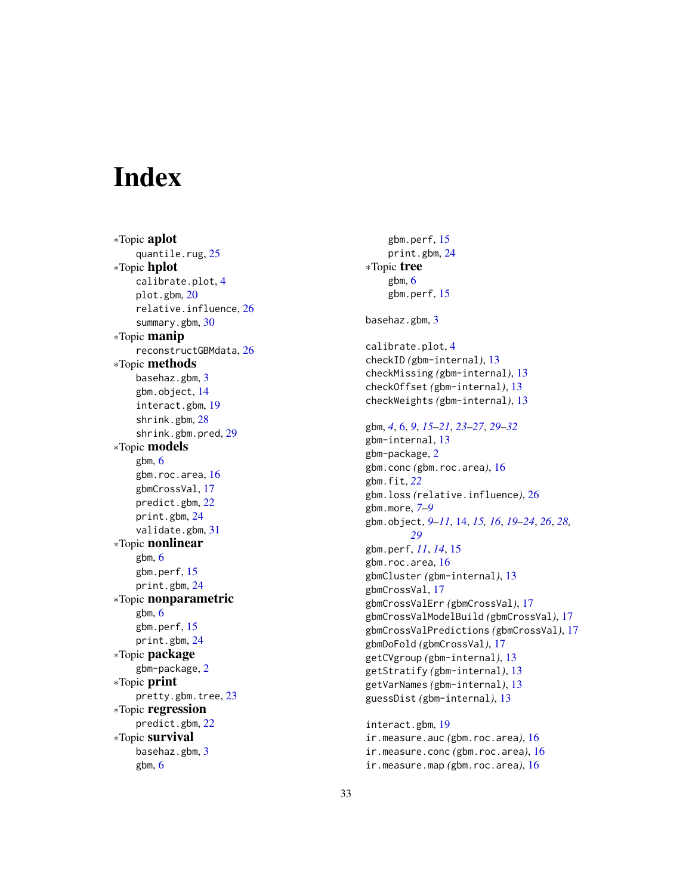# <span id="page-32-0"></span>**Index**

∗Topic aplot quantile.rug, [25](#page-24-0) ∗Topic hplot calibrate.plot , [4](#page-3-0) plot.gbm , [20](#page-19-0) relative.influence , [26](#page-25-0) summary.gbm , [30](#page-29-0) ∗Topic manip reconstructGBMdata , [26](#page-25-0) ∗Topic methods basehaz.gbm, [3](#page-2-0) gbm.object , [14](#page-13-0) interact.gbm , [19](#page-18-0) shrink.gbm , [28](#page-27-0) shrink.gbm.pred , [29](#page-28-0) ∗Topic models gbm , [6](#page-5-0) gbm.roc.area, [16](#page-15-0) gbmCrossVal , [17](#page-16-0) predict.gbm , [22](#page-21-0) print.gbm , [24](#page-23-0) validate.gbm , [31](#page-30-0) ∗Topic nonlinear gbm , [6](#page-5-0) gbm.perf , [15](#page-14-0) print.gbm , [24](#page-23-0) ∗Topic nonparametric gbm , [6](#page-5-0) gbm.perf , [15](#page-14-0) print.gbm , [24](#page-23-0) ∗Topic package gbm-package , [2](#page-1-0) ∗Topic print pretty.gbm.tree , [23](#page-22-0) ∗Topic regression predict.gbm , [22](#page-21-0) ∗Topic survival basehaz.gbm, [3](#page-2-0) gbm , [6](#page-5-0)

gbm.perf , [15](#page-14-0) print.gbm , [24](#page-23-0) ∗Topic tree gbm , [6](#page-5-0) gbm.perf, [15](#page-14-0) basehaz.gbm, <mark>[3](#page-2-0)</mark> calibrate.plot , [4](#page-3-0) checkID *(*gbm-internal *)* , [13](#page-12-0) checkMissing *(*gbm-internal *)* , [13](#page-12-0) checkOffset *(*gbm-internal *)* , [13](#page-12-0) checkWeights *(*gbm-internal *)* , [13](#page-12-0) gbm , *[4](#page-3-0)* , [6](#page-5-0) , *[9](#page-8-0)* , *[15](#page-14-0) [–21](#page-20-0)* , *[23](#page-22-0) [–27](#page-26-0)* , *[29](#page-28-0) [–32](#page-31-0)* gbm-internal , [13](#page-12-0) gbm-package , [2](#page-1-0) gbm.conc *(*gbm.roc.area *)* , [16](#page-15-0) gbm.fit , *[22](#page-21-0)* gbm.loss *(*relative.influence *)* , [26](#page-25-0) gbm.more , *[7–](#page-6-0) [9](#page-8-0)* gbm.object, [9](#page-8-0)[–11](#page-10-0), [14](#page-13-0), [15](#page-14-0), [16](#page-15-0), [19](#page-18-0)[–24](#page-23-0), [26](#page-25-0), [28](#page-27-0), *[29](#page-28-0)* gbm.perf , *[11](#page-10-0)* , *[14](#page-13-0)* , [15](#page-14-0) gbm.roc.area, 1<mark>6</mark> gbmCluster *(*gbm-internal *)* , [13](#page-12-0) gbmCrossVal , [17](#page-16-0) gbmCrossValErr *(*gbmCrossVal *)* , [17](#page-16-0) gbmCrossValModelBuild *(*gbmCrossVal *)* , [17](#page-16-0) gbmCrossValPredictions *(*gbmCrossVal *)* , [17](#page-16-0) gbmDoFold *(*gbmCrossVal *)* , [17](#page-16-0) getCVgroup *(*gbm-internal *)* , [13](#page-12-0) getStratify *(*gbm-internal *)* , [13](#page-12-0) getVarNames *(*gbm-internal *)* , [13](#page-12-0) guessDist *(*gbm-internal *)* , [13](#page-12-0) interact.gbm , [19](#page-18-0) ir.measure.auc *(*gbm.roc.area *)* , [16](#page-15-0) ir.measure.conc *(*gbm.roc.area *)* , [16](#page-15-0)

ir.measure.map *(*gbm.roc.area *)* , [16](#page-15-0)